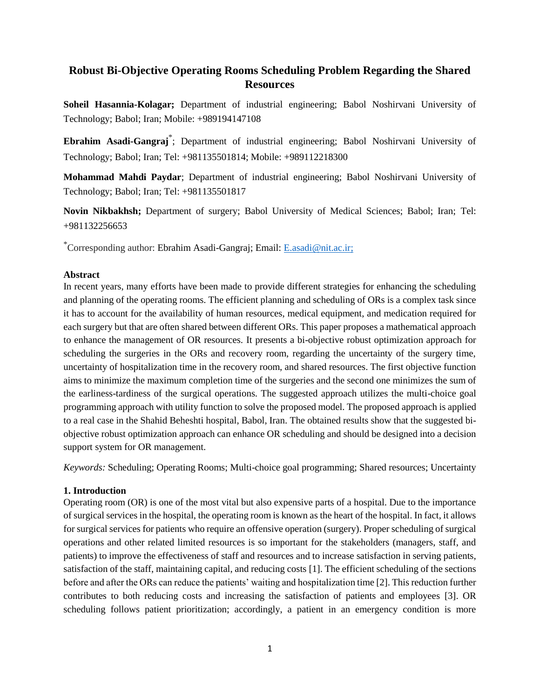# **Robust Bi-Objective Operating Rooms Scheduling Problem Regarding the Shared Resources**

**Soheil Hasannia-Kolagar;** Department of industrial engineering; Babol Noshirvani University of Technology; Babol; Iran; Mobile: +989194147108

**Ebrahim Asadi-Gangraj**\* ; Department of industrial engineering; Babol Noshirvani University of Technology; Babol; Iran; Tel: +981135501814; Mobile: +989112218300

**Mohammad Mahdi Paydar**; Department of industrial engineering; Babol Noshirvani University of Technology; Babol; Iran; Tel: +981135501817

**Novin Nikbakhsh;** Department of surgery; Babol University of Medical Sciences; Babol; Iran; Tel: +981132256653

\*Corresponding author: Ebrahim Asadi-Gangraj; Email: [E.asadi@nit.ac.ir;](mailto:E.asadi@nit.ac.ir)

# **Abstract**

In recent years, many efforts have been made to provide different strategies for enhancing the scheduling and planning of the operating rooms. The efficient planning and scheduling of ORs is a complex task since it has to account for the availability of human resources, medical equipment, and medication required for each surgery but that are often shared between different ORs. This paper proposes a mathematical approach to enhance the management of OR resources. It presents a bi-objective robust optimization approach for scheduling the surgeries in the ORs and recovery room, regarding the uncertainty of the surgery time, uncertainty of hospitalization time in the recovery room, and shared resources. The first objective function aims to minimize the maximum completion time of the surgeries and the second one minimizes the sum of the earliness-tardiness of the surgical operations. The suggested approach utilizes the multi-choice goal programming approach with utility function to solve the proposed model. The proposed approach is applied to a real case in the Shahid Beheshti hospital, Babol, Iran. The obtained results show that the suggested biobjective robust optimization approach can enhance OR scheduling and should be designed into a decision support system for OR management.

*Keywords:* Scheduling; Operating Rooms; Multi-choice goal programming; Shared resources; Uncertainty

# **1. Introduction**

Operating room (OR) is one of the most vital but also expensive parts of a hospital. Due to the importance of surgical services in the hospital, the operating room is known as the heart of the hospital. In fact, it allows for surgical services for patients who require an offensive operation (surgery). Proper scheduling of surgical operations and other related limited resources is so important for the stakeholders (managers, staff, and patients) to improve the effectiveness of staff and resources and to increase satisfaction in serving patients, satisfaction of the staff, maintaining capital, and reducing costs [1]. The efficient scheduling of the sections before and after the ORs can reduce the patients' waiting and hospitalization time [2]. This reduction further contributes to both reducing costs and increasing the satisfaction of patients and employees [3]. OR scheduling follows patient prioritization; accordingly, a patient in an emergency condition is more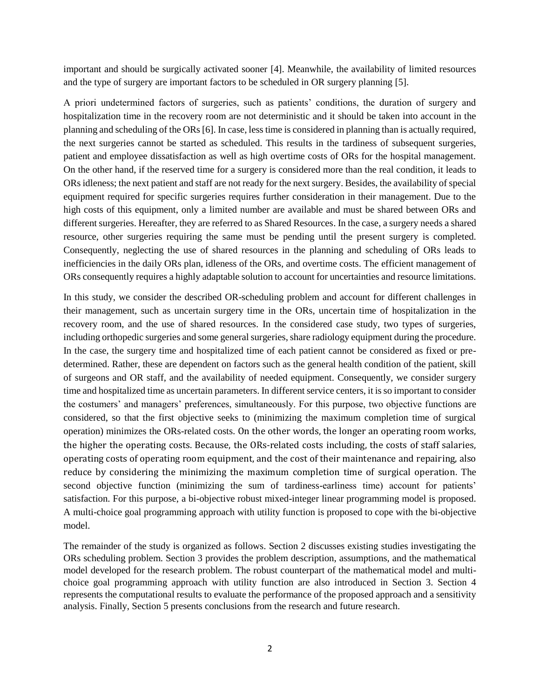important and should be surgically activated sooner [4]. Meanwhile, the availability of limited resources and the type of surgery are important factors to be scheduled in OR surgery planning [5].

A priori undetermined factors of surgeries, such as patients' conditions, the duration of surgery and hospitalization time in the recovery room are not deterministic and it should be taken into account in the planning and scheduling of the ORs [6]. In case, less time is considered in planning than is actually required, the next surgeries cannot be started as scheduled. This results in the tardiness of subsequent surgeries, patient and employee dissatisfaction as well as high overtime costs of ORs for the hospital management. On the other hand, if the reserved time for a surgery is considered more than the real condition, it leads to ORs idleness; the next patient and staff are not ready for the next surgery. Besides, the availability of special equipment required for specific surgeries requires further consideration in their management. Due to the high costs of this equipment, only a limited number are available and must be shared between ORs and different surgeries. Hereafter, they are referred to as Shared Resources. In the case, a surgery needs a shared resource, other surgeries requiring the same must be pending until the present surgery is completed. Consequently, neglecting the use of shared resources in the planning and scheduling of ORs leads to inefficiencies in the daily ORs plan, idleness of the ORs, and overtime costs. The efficient management of ORs consequently requires a highly adaptable solution to account for uncertainties and resource limitations.

In this study, we consider the described OR-scheduling problem and account for different challenges in their management, such as uncertain surgery time in the ORs, uncertain time of hospitalization in the recovery room, and the use of shared resources. In the considered case study, two types of surgeries, including orthopedic surgeries and some general surgeries, share radiology equipment during the procedure. In the case, the surgery time and hospitalized time of each patient cannot be considered as fixed or predetermined. Rather, these are dependent on factors such as the general health condition of the patient, skill of surgeons and OR staff, and the availability of needed equipment. Consequently, we consider surgery time and hospitalized time as uncertain parameters. In different service centers, it is so important to consider the costumers' and managers' preferences, simultaneously. For this purpose, two objective functions are considered, so that the first objective seeks to (minimizing the maximum completion time of surgical operation) minimizes the ORs-related costs. On the other words, the longer an operating room works, the higher the operating costs. Because, the ORs-related costs including, the costs of staff salaries, operating costs of operating room equipment, and the cost of their maintenance and repairing, also reduce by considering the minimizing the maximum completion time of surgical operation. The second objective function (minimizing the sum of tardiness-earliness time) account for patients' satisfaction. For this purpose, a bi-objective robust mixed-integer linear programming model is proposed. A multi-choice goal programming approach with utility function is proposed to cope with the bi-objective model.

The remainder of the study is organized as follows. Section 2 discusses existing studies investigating the ORs scheduling problem. Section 3 provides the problem description, assumptions, and the mathematical model developed for the research problem. The robust counterpart of the mathematical model and multichoice goal programming approach with utility function are also introduced in Section 3. Section 4 represents the computational results to evaluate the performance of the proposed approach and a sensitivity analysis. Finally, Section 5 presents conclusions from the research and future research.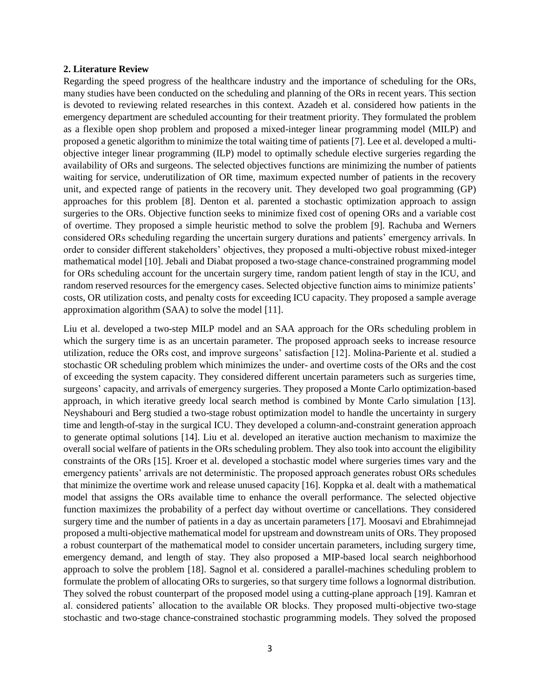#### **2. Literature Review**

Regarding the speed progress of the healthcare industry and the importance of scheduling for the ORs, many studies have been conducted on the scheduling and planning of the ORs in recent years. This section is devoted to reviewing related researches in this context. Azadeh et al. considered how patients in the emergency department are scheduled accounting for their treatment priority. They formulated the problem as a flexible open shop problem and proposed a mixed-integer linear programming model (MILP) and proposed a genetic algorithm to minimize the total waiting time of patients [7]. Lee et al. developed a multiobjective integer linear programming (ILP) model to optimally schedule elective surgeries regarding the availability of ORs and surgeons. The selected objectives functions are minimizing the number of patients waiting for service, underutilization of OR time, maximum expected number of patients in the recovery unit, and expected range of patients in the recovery unit. They developed two goal programming (GP) approaches for this problem [8]. Denton et al. parented a stochastic optimization approach to assign surgeries to the ORs. Objective function seeks to minimize fixed cost of opening ORs and a variable cost of overtime. They proposed a simple heuristic method to solve the problem [9]. Rachuba and Werners considered ORs scheduling regarding the uncertain surgery durations and patients' emergency arrivals. In order to consider different stakeholders' objectives, they proposed a multi-objective robust mixed-integer mathematical model [10]. Jebali and Diabat proposed a two-stage chance-constrained programming model for ORs scheduling account for the uncertain surgery time, random patient length of stay in the ICU, and random reserved resources for the emergency cases. Selected objective function aims to minimize patients' costs, OR utilization costs, and penalty costs for exceeding ICU capacity. They proposed a sample average approximation algorithm (SAA) to solve the model [11].

Liu et al. developed a two-step MILP model and an SAA approach for the ORs scheduling problem in which the surgery time is as an uncertain parameter. The proposed approach seeks to increase resource utilization, reduce the ORs cost, and improve surgeons' satisfaction [12]. Molina-Pariente et al. studied a stochastic OR scheduling problem which minimizes the under- and overtime costs of the ORs and the cost of exceeding the system capacity. They considered different uncertain parameters such as surgeries time, surgeons' capacity, and arrivals of emergency surgeries. They proposed a Monte Carlo optimization-based approach, in which iterative greedy local search method is combined by Monte Carlo simulation [13]. Neyshabouri and Berg studied a two-stage robust optimization model to handle the uncertainty in surgery time and length-of-stay in the surgical ICU. They developed a column-and-constraint generation approach to generate optimal solutions [14]. Liu et al. developed an iterative auction mechanism to maximize the overall social welfare of patients in the ORs scheduling problem. They also took into account the eligibility constraints of the ORs [15]. Kroer et al. developed a stochastic model where surgeries times vary and the emergency patients' arrivals are not deterministic. The proposed approach generates robust ORs schedules that minimize the overtime work and release unused capacity [16]. Koppka et al. dealt with a mathematical model that assigns the ORs available time to enhance the overall performance. The selected objective function maximizes the probability of a perfect day without overtime or cancellations. They considered surgery time and the number of patients in a day as uncertain parameters [17]. Moosavi and Ebrahimnejad proposed a multi-objective mathematical model for upstream and downstream units of ORs. They proposed a robust counterpart of the mathematical model to consider uncertain parameters, including surgery time, emergency demand, and length of stay. They also proposed a MIP-based local search neighborhood approach to solve the problem [18]. Sagnol et al. considered a parallel-machines scheduling problem to formulate the problem of allocating ORs to surgeries, so that surgery time follows a lognormal distribution. They solved the robust counterpart of the proposed model using a cutting-plane approach [19]. Kamran et al. considered patients' allocation to the available OR blocks. They proposed multi-objective two-stage stochastic and two-stage chance-constrained stochastic programming models. They solved the proposed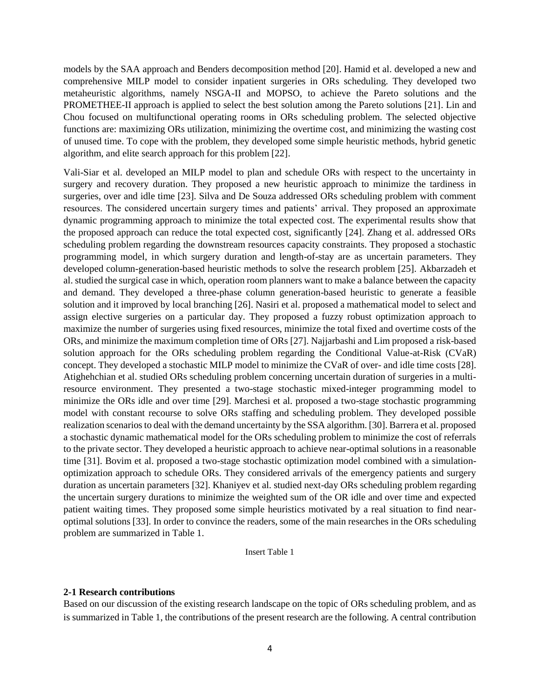models by the SAA approach and Benders decomposition method [20]. Hamid et al. developed a new and comprehensive MILP model to consider inpatient surgeries in ORs scheduling. They developed two metaheuristic algorithms, namely NSGA-II and MOPSO, to achieve the Pareto solutions and the PROMETHEE-II approach is applied to select the best solution among the Pareto solutions [21]. Lin and Chou focused on multifunctional operating rooms in ORs scheduling problem. The selected objective functions are: maximizing ORs utilization, minimizing the overtime cost, and minimizing the wasting cost of unused time. To cope with the problem, they developed some simple heuristic methods, hybrid genetic algorithm, and elite search approach for this problem [22].

Vali-Siar et al. developed an MILP model to plan and schedule ORs with respect to the uncertainty in surgery and recovery duration. They proposed a new heuristic approach to minimize the tardiness in surgeries, over and idle time [23]. Silva and De Souza addressed ORs scheduling problem with comment resources. The considered uncertain surgery times and patients' arrival. They proposed an approximate dynamic programming approach to minimize the total expected cost. The experimental results show that the proposed approach can reduce the total expected cost, significantly [24]. Zhang et al. addressed ORs scheduling problem regarding the downstream resources capacity constraints. They proposed a stochastic programming model, in which surgery duration and length-of-stay are as uncertain parameters. They developed column-generation-based heuristic methods to solve the research problem [25]. Akbarzadeh et al. studied the surgical case in which, operation room planners want to make a balance between the capacity and demand. They developed a three-phase column generation-based heuristic to generate a feasible solution and it improved by local branching [26]. Nasiri et al. proposed a mathematical model to select and assign elective surgeries on a particular day. They proposed a fuzzy robust optimization approach to maximize the number of surgeries using fixed resources, minimize the total fixed and overtime costs of the ORs, and minimize the maximum completion time of ORs [27]. Najjarbashi and Lim proposed a risk-based solution approach for the ORs scheduling problem regarding the Conditional Value-at-Risk (CVaR) concept. They developed a stochastic MILP model to minimize the CVaR of over- and idle time costs [28]. Atighehchian et al. studied ORs scheduling problem concerning uncertain duration of surgeries in a multiresource environment. They presented a two-stage stochastic mixed-integer programming model to minimize the ORs idle and over time [29]. Marchesi et al. proposed a two-stage stochastic programming model with constant recourse to solve ORs staffing and scheduling problem. They developed possible realization scenarios to deal with the demand uncertainty by the SSA algorithm. [30]. Barrera et al. proposed a stochastic dynamic mathematical model for the ORs scheduling problem to minimize the cost of referrals to the private sector. They developed a heuristic approach to achieve near-optimal solutions in a reasonable time [31]. Bovim et al. proposed a two-stage stochastic optimization model combined with a simulationoptimization approach to schedule ORs. They considered arrivals of the emergency patients and surgery duration as uncertain parameters [32]. Khaniyev et al. studied next-day ORs scheduling problem regarding the uncertain surgery durations to minimize the weighted sum of the OR idle and over time and expected patient waiting times. They proposed some simple heuristics motivated by a real situation to find nearoptimal solutions [33]. In order to convince the readers, some of the main researches in the ORs scheduling problem are summarized in Table 1.

# Insert Table 1

#### **2-1 Research contributions**

Based on our discussion of the existing research landscape on the topic of ORs scheduling problem, and as is summarized in Table 1, the contributions of the present research are the following. A central contribution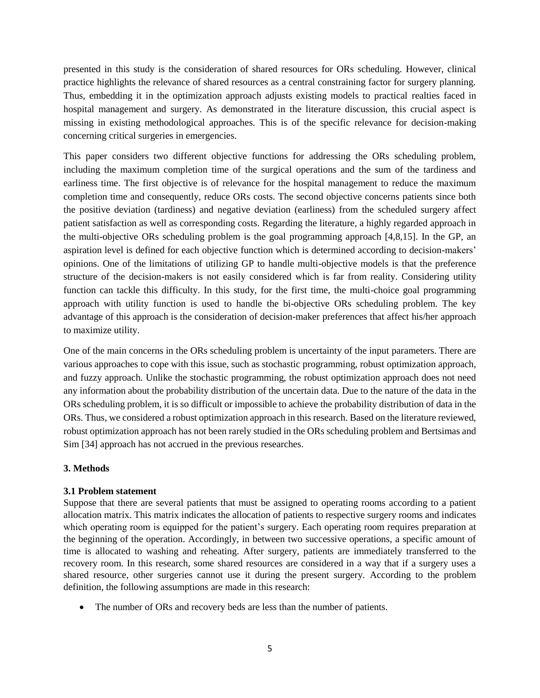presented in this study is the consideration of shared resources for ORs scheduling. However, clinical practice highlights the relevance of shared resources as a central constraining factor for surgery planning. Thus, embedding it in the optimization approach adjusts existing models to practical realties faced in hospital management and surgery. As demonstrated in the literature discussion, this crucial aspect is missing in existing methodological approaches. This is of the specific relevance for decision-making concerning critical surgeries in emergencies.

This paper considers two different objective functions for addressing the ORs scheduling problem, including the maximum completion time of the surgical operations and the sum of the tardiness and earliness time. The first objective is of relevance for the hospital management to reduce the maximum completion time and consequently, reduce ORs costs. The second objective concerns patients since both the positive deviation (tardiness) and negative deviation (earliness) from the scheduled surgery affect patient satisfaction as well as corresponding costs. Regarding the literature, a highly regarded approach in the multi-objective ORs scheduling problem is the goal programming approach [4,8,15]. In the GP, an aspiration level is defined for each objective function which is determined according to decision-makers' opinions. One of the limitations of utilizing GP to handle multi-objective models is that the preference structure of the decision-makers is not easily considered which is far from reality. Considering utility function can tackle this difficulty. In this study, for the first time, the multi-choice goal programming approach with utility function is used to handle the bi-objective ORs scheduling problem. The key advantage of this approach is the consideration of decision-maker preferences that affect his/her approach to maximize utility.

One of the main concerns in the ORs scheduling problem is uncertainty of the input parameters. There are various approaches to cope with this issue, such as stochastic programming, robust optimization approach, and fuzzy approach. Unlike the stochastic programming, the robust optimization approach does not need any information about the probability distribution of the uncertain data. Due to the nature of the data in the ORs scheduling problem, it is so difficult or impossible to achieve the probability distribution of data in the ORs. Thus, we considered a robust optimization approach in this research. Based on the literature reviewed, robust optimization approach has not been rarely studied in the ORs scheduling problem and Bertsimas and Sim [34] approach has not accrued in the previous researches.

# **3. Methods**

# **3.1 Problem statement**

Suppose that there are several patients that must be assigned to operating rooms according to a patient allocation matrix. This matrix indicates the allocation of patients to respective surgery rooms and indicates which operating room is equipped for the patient's surgery. Each operating room requires preparation at the beginning of the operation. Accordingly, in between two successive operations, a specific amount of time is allocated to washing and reheating. After surgery, patients are immediately transferred to the recovery room. In this research, some shared resources are considered in a way that if a surgery uses a shared resource, other surgeries cannot use it during the present surgery. According to the problem definition, the following assumptions are made in this research:

• The number of ORs and recovery beds are less than the number of patients.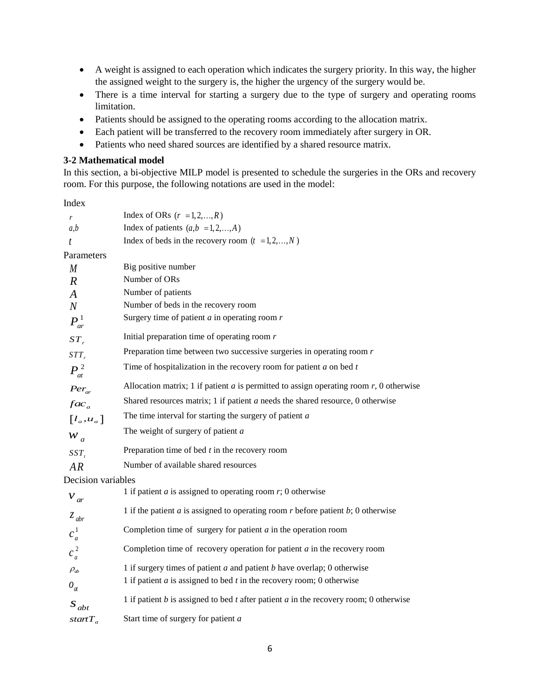- A weight is assigned to each operation which indicates the surgery priority. In this way, the higher the assigned weight to the surgery is, the higher the urgency of the surgery would be.
- There is a time interval for starting a surgery due to the type of surgery and operating rooms limitation.
- Patients should be assigned to the operating rooms according to the allocation matrix.
- Each patient will be transferred to the recovery room immediately after surgery in OR.
- Patients who need shared sources are identified by a shared resource matrix.

# **3-2 Mathematical model**

In this section, a bi-objective MILP model is presented to schedule the surgeries in the ORs and recovery room. For this purpose, the following notations are used in the model:

Index

| r                              | Index of ORs $(r = 1, 2, \ldots, R)$                                                        |
|--------------------------------|---------------------------------------------------------------------------------------------|
| a,b                            | Index of patients $(a,b = 1,2,,A)$                                                          |
| t                              | Index of beds in the recovery room $(t = 1, 2, , N)$                                        |
| Parameters                     |                                                                                             |
| M                              | Big positive number                                                                         |
| $\overline{R}$                 | Number of ORs                                                                               |
| $\boldsymbol{A}$               | Number of patients                                                                          |
| $\boldsymbol{N}$               | Number of beds in the recovery room                                                         |
| $P_{ar}^1$                     | Surgery time of patient $a$ in operating room $r$                                           |
| $ST_r$                         | Initial preparation time of operating room $r$                                              |
| $STT_r$                        | Preparation time between two successive surgeries in operating room $r$                     |
| $P_{at}^2$                     | Time of hospitalization in the recovery room for patient $a$ on bed $t$                     |
| $Per_{ar}$                     | Allocation matrix; 1 if patient $a$ is permitted to assign operating room $r$ , 0 otherwise |
| $fac_a$                        | Shared resources matrix; 1 if patient $a$ needs the shared resource, 0 otherwise            |
| $\left[l_a, u_a\right]$        | The time interval for starting the surgery of patient $a$                                   |
| $W_a$                          | The weight of surgery of patient $a$                                                        |
| $SST_t$                        | Preparation time of bed $t$ in the recovery room                                            |
| AR                             | Number of available shared resources                                                        |
| Decision variables             |                                                                                             |
| $v_{ar}$                       | 1 if patient $a$ is assigned to operating room $r$ ; 0 otherwise                            |
| $z$ <sub>abr</sub>             | 1 if the patient $a$ is assigned to operating room $r$ before patient $b$ ; 0 otherwise     |
| $c_a^1$                        | Completion time of surgery for patient $a$ in the operation room                            |
| $c_a^2$                        | Completion time of recovery operation for patient $a$ in the recovery room                  |
| $\rho_{\scriptscriptstyle ab}$ | 1 if surgery times of patient $a$ and patient $b$ have overlap; 0 otherwise                 |
| $\theta_{at}$                  | 1 if patient $a$ is assigned to bed $t$ in the recovery room; 0 otherwise                   |
| $S_{abt}$                      | 1 if patient $b$ is assigned to bed $t$ after patient $a$ in the recovery room; 0 otherwise |
| start $T_{\alpha}$             | Start time of surgery for patient a                                                         |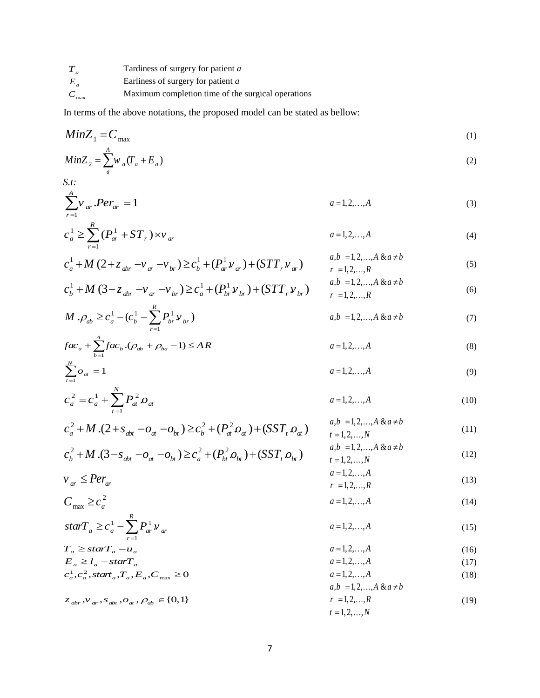| $T_{a}$ | Tardiness of surgery for patient a        |
|---------|-------------------------------------------|
|         | Earliness of surgery for patient <i>a</i> |

1

 $\sum_{t=1}$  at

*C* max Maximum completion time of the surgical operations

In terms of the above notations, the proposed model can be stated as bellow:

$$
MinZ_1 = C_{max} \tag{1}
$$
\n
$$
MinZ = \sum_{i=1}^{A} C_{i} C_{i} + E_{i}
$$

$$
MinZ_2 = \sum_a w_a (T_a + E_a)
$$
\n
$$
S.t:
$$
\n(2)

$$
\sum_{r=1}^{A} v_{ar} Per_{ar} = 1
$$
 (3)

$$
c_a^1 \ge \sum_{r=1}^R (P_{ar}^1 + ST_r) \times v_{ar}
$$
 (4)

$$
c_a^1 + M\left(2 + z_{abr} - v_{ar} - v_{br}\right) \ge c_b^1 + \left(P_{ar}^1 v_{ar}\right) + \left(ST_r v_{ar}\right) \qquad \begin{array}{c} a, b = 1, 2, ..., A \& a \ne b\\ r = 1, 2, ..., R\\ r = 1, 2, ..., R \end{array} \tag{5}
$$

$$
c_b^1 + M (3 - z_{abr} - v_{ar} - v_{br}) \ge c_a^1 + (P_{br}^1 v_{br}) + (STT_r v_{br}) \qquad a,b = 1,2,...,A \& a \ne b
$$
  
 $r = 1,2,...,R$  (6)

$$
M \, . \rho_{ab} \ge c_a^1 - (c_b^1 - \sum_{r=1}^R P_{br}^1 \, v_{br}) \tag{7}
$$

$$
fac_a + \sum_{b=1}^{A} fac_b \cdot (\rho_{ab} + \rho_{ba} - 1) \le AR
$$
  
\n
$$
\sum_{t=1}^{N} \rho_{at} = 1
$$
  
\n
$$
a = 1, 2, ..., A
$$
  
\n(8)  
\n
$$
a = 1, 2, ..., A
$$
  
\n(9)

$$
c_a^2 = c_a^1 + \sum_{t=1}^N P_{at}^2 \mathcal{O}_{at} \qquad a = 1, 2, ..., A \qquad (10)
$$

$$
c_a^2 + M.(2 + s_{abt} - o_{at} - o_{bt}) \ge c_b^2 + (P_{at}^2 o_{at}) + (SST_t o_{at})
$$
  
\n
$$
c_a^2 + M.(2 + s_{abt} - o_{at} - o_{bt}) \ge c_b^2 + (P_{at}^2 o_{at}) + (SST_t o_{at})
$$
  
\n
$$
c_b^2 + (SST_t o_{at})
$$
  
\n
$$
a, b = 1, 2, ..., A \& a \ne b
$$
  
\n
$$
a, b = 1, 2, ..., A \& a \ne b
$$
  
\n(11)

$$
c_b^2 + M.(3 - s_{abt} - o_{at} - o_{bt}) \ge c_a^2 + (P_{bt}^2 o_{bt}) + (SST_t o_{bt})
$$
  
\n
$$
v_{ab} = 1, 2, ..., N
$$
  
\n
$$
a = 1, 2, ..., A
$$
  
\n
$$
a = 1, 2, ..., M
$$
  
\n(12)  
\n
$$
a = 1, 2, ..., M
$$
  
\n(13)

$$
v_{ar} \leq Per_{ar}
$$
  
\n
$$
C_{\text{max}} \geq c_a^2
$$
  
\n
$$
R
$$
  
\n
$$
a = 1, 2, ..., A
$$
  
\n
$$
(13)
$$
  
\n
$$
a = 1, 2, ..., A
$$
  
\n
$$
(14)
$$

$$
\text{star}T_a \ge c_a^1 - \sum_{r=1}^{\infty} P_{ar}^1 \nu_{ar}
$$
\n
$$
T_a \ge \text{star}T_a - u_a
$$
\n
$$
F_a \ge l_a^1 - \text{star}T_a
$$
\n
$$
T_a \ge \text{star}T_a - u_a
$$
\n
$$
T_a \ge l_a^1 - \text{star}T_a
$$
\n
$$
(16)
$$
\n
$$
T_a \ge l_a^1 - \text{star}T_a
$$
\n
$$
(17)
$$

$$
E_a \ge l_a - starT_a
$$
  
\n
$$
c_a^1, c_a^2, start_a, T_a, E_a, C_{\text{max}} \ge 0
$$
  
\n
$$
z_{abr}, v_{ar}, s_{abr}, o_{ar}, \rho_{ab} \in \{0, 1\}
$$
  
\n
$$
T = 1, 2, ..., R
$$
  
\n
$$
T = 1, 2, ..., R
$$
  
\n
$$
T = 1, 2, ..., R
$$
  
\n(19)  
\n
$$
t = 1, 2, ..., R
$$

$$
i=1,2,\ldots,N
$$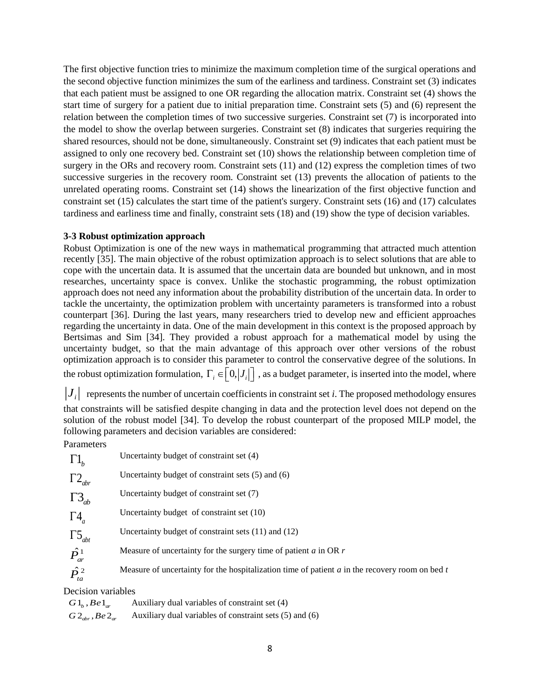The first objective function tries to minimize the maximum completion time of the surgical operations and the second objective function minimizes the sum of the earliness and tardiness. Constraint set (3) indicates that each patient must be assigned to one OR regarding the allocation matrix. Constraint set (4) shows the start time of surgery for a patient due to initial preparation time. Constraint sets (5) and (6) represent the relation between the completion times of two successive surgeries. Constraint set (7) is incorporated into the model to show the overlap between surgeries. Constraint set (8) indicates that surgeries requiring the shared resources, should not be done, simultaneously. Constraint set (9) indicates that each patient must be assigned to only one recovery bed. Constraint set (10) shows the relationship between completion time of surgery in the ORs and recovery room. Constraint sets (11) and (12) express the completion times of two successive surgeries in the recovery room. Constraint set (13) prevents the allocation of patients to the unrelated operating rooms. Constraint set (14) shows the linearization of the first objective function and constraint set (15) calculates the start time of the patient's surgery. Constraint sets (16) and (17) calculates tardiness and earliness time and finally, constraint sets (18) and (19) show the type of decision variables.

# **3-3 Robust optimization approach**

Robust Optimization is one of the new ways in mathematical programming that attracted much attention recently [35]. The main objective of the robust optimization approach is to select solutions that are able to cope with the uncertain data. It is assumed that the uncertain data are bounded but unknown, and in most researches, uncertainty space is convex. Unlike the stochastic programming, the robust optimization approach does not need any information about the probability distribution of the uncertain data. In order to tackle the uncertainty, the optimization problem with uncertainty parameters is transformed into a robust counterpart [36]. During the last years, many researchers tried to develop new and efficient approaches regarding the uncertainty in data. One of the main development in this context is the proposed approach by Bertsimas and Sim [34]. They provided a robust approach for a mathematical model by using the uncertainty budget, so that the main advantage of this approach over other versions of the robust optimization approach is to consider this parameter to control the conservative degree of the solutions. In the robust optimization formulation,  $\Gamma_i \in [0, |J_i|]$ , as a budget parameter, is inserted into the model, where

 $J_i$  represents the number of uncertain coefficients in constraint set *i*. The proposed methodology ensures that constraints will be satisfied despite changing in data and the protection level does not depend on the solution of the robust model [34]. To develop the robust counterpart of the proposed MILP model, the following parameters and decision variables are considered:

# Parameters

| $\Gamma$ <sup>1</sup> <sub>b</sub>      | Uncertainty budget of constraint set (4)                                                           |
|-----------------------------------------|----------------------------------------------------------------------------------------------------|
| $\Gamma 2_{\textit{abr}}$               | Uncertainty budget of constraint sets $(5)$ and $(6)$                                              |
| $\Gamma 3_{ab}$                         | Uncertainty budget of constraint set (7)                                                           |
| $\Gamma 4_a$                            | Uncertainty budget of constraint set (10)                                                          |
| $\Gamma 5_{abt}$                        | Uncertainty budget of constraint sets $(11)$ and $(12)$                                            |
| $\hat{P}_{ar}^1$                        | Measure of uncertainty for the surgery time of patient $\alpha$ in OR $r$                          |
| $\hat{P}^{\,2}_{\scriptscriptstyle ta}$ | Measure of uncertainty for the hospitalization time of patient $a$ in the recovery room on bed $t$ |
| posicion verichles                      |                                                                                                    |

Decision variables

 $G1, Be1$ Auxiliary dual variables of constraint set (4)  $G2_{\textit{abr}}$ ,  $Be2_{\textit{ar}}$ Auxiliary dual variables of constraint sets (5) and (6)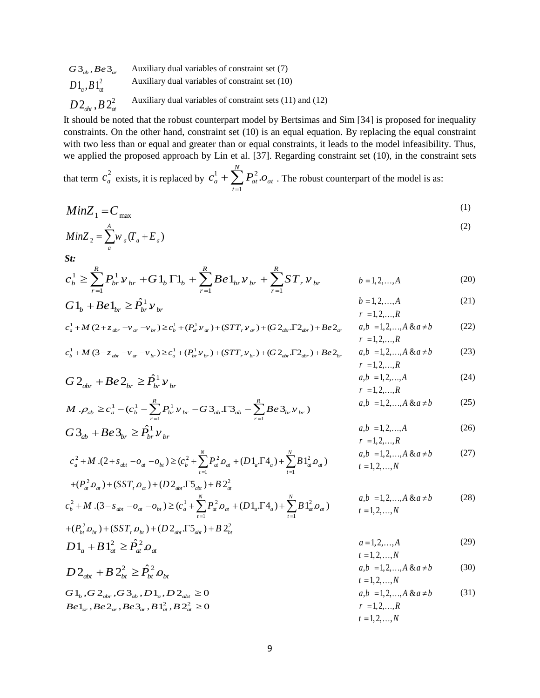$G3_{ab}$ *, Be*<sup>3</sup> $_{ar}$ </sup> Auxiliary dual variables of constraint set (7)  $D1_{\!a}$ ,  $B1_{\!a}^{\!2}$ Auxiliary dual variables of constraint set (10)  $D$  2<sub>abt</sub> , B 2 $^{2}_{at}$ Auxiliary dual variables of constraint sets (11) and (12)

It should be noted that the robust counterpart model by Bertsimas and Sim [34] is proposed for inequality constraints. On the other hand, constraint set (10) is an equal equation. By replacing the equal constraint with two less than or equal and greater than or equal constraints, it leads to the model infeasibility. Thus, we applied the proposed approach by Lin et al. [37]. Regarding constraint set (10), in the constraint sets

that term  $c_a^2$  $c_a^2$  exists, it is replaced by  $c_a^1 + \sum P_{at}^2$ 1 *N a d at at at t*  $c^{1} + \sum P^{2}$ .0  $+\sum_{t=1} P_{at}^2 O_{at}$ . The robust counterpart of the model is as:

$$
MinZ_1 = C_{max} \tag{1}
$$

$$
MinZ_2 = \sum_{a}^{A} w_a (T_a + E_a)
$$
 (2)

*St:*

$$
c_b^1 \ge \sum_{r=1}^R P_{br}^1 \nu_{br} + G \, 1_b \, \Gamma 1_b + \sum_{r=1}^R B \, e \, 1_{br} \nu_{br} + \sum_{r=1}^R S \, T_r \, \nu_{br} \qquad b = 1, 2, \dots, A \tag{20}
$$

$$
G1_b + Be1_{br} \ge \hat{P}_{br}^1 \nu_{br} \qquad \qquad b = 1, 2, ..., A \qquad (21)
$$

$$
c_a^1 + M (2 + z_{\text{abr}} - v_{\text{ar}} - v_{\text{br}}) \ge c_b^1 + (P_{\text{ar}}^1 v_{\text{ar}}) + (STT_r v_{\text{ar}}) + (G2_{\text{abr}} \Gamma 2_{\text{abr}}) + Be2_{\text{ar}} \qquad a, b = 1, 2, ..., A \& a \ne b
$$
  
\n $r = 1, 2, ..., R$  (22)

(23)

(25)

(26)

(27)

$$
c_b^1 + M (3 - z_{\text{abr}} - v_{\text{ar}} - v_{\text{br}}) \ge c_a^1 + (P_{\text{br}}^1 v_{\text{br}}) + (STT_r v_{\text{br}}) + (G2_{\text{abr}} \Gamma 2_{\text{abr}}) + Be2_{\text{br}} \qquad a, b = 1, 2, ..., A \& a \ne b
$$
  

$$
r = 1, 2, ..., R
$$

$$
G2_{abr} + Be2_{br} \ge \hat{P}_{br}^{1} \nu_{br} \qquad a,b = 1,2,...,A \qquad (24)
$$

$$
M \cdot \rho_{ab} \ge c_a^1 - (c_b^1 - \sum_{r=1}^R P_{br}^1 v_{br} - G \, 3_{ab} \cdot \Gamma \, 3_{ab} - \sum_{r=1}^R B e \, 3_{br} v_{br})
$$
\n
$$
a, b = 1, 2, ..., A \, \& a \ne b
$$
\n
$$
a, b = 1, 2, ..., A
$$
\n
$$
a, b = 1, 2, ..., A
$$
\n
$$
a, b = 1, 2, ..., A
$$
\n
$$
a, b = 1, 2, ..., A
$$
\n
$$
r = 1, 2, ..., R
$$

$$
c_a^2 + M (2 + s_{abt} - o_a - o_{bt}) \ge (c_b^2 + \sum_{t=1}^N P_a^2 o_a + (D1_a \Gamma 4_a) + \sum_{t=1}^N B1_a^2 o_a)
$$
  
  $a, b = 1, 2, ..., A \& a \ne b$   
 $t = 1, 2, ..., N$   

$$
+ (P_a^2 o_a) + (SST, o_a) + (D2_{abt} \Gamma 5_{abt}) + B2_a^2
$$

$$
c_b^2 + M.(3 - s_{abt} - o_a - o_{bt}) \ge (c_a^1 + \sum_{t=1}^N P_a^2 o_a + (D1_a \Gamma 4_a) + \sum_{t=1}^N B1_a^2 o_a)
$$
\n
$$
a, b = 1, 2, ..., A \& a \ne b
$$
\n
$$
t = 1, 2, ..., N
$$
\n
$$
+ (P_b^2 o_{bt}) + (SST, o_{bt}) + (D2_{abt} \Gamma 5_{abt}) + B2_b^2
$$
\n
$$
(28)
$$

$$
D1_{a} + B1_{at}^{2} \geq \hat{P}_{at}^{2} .
$$
\n
$$
D1_{a} + B1_{at}^{2} \geq \hat{P}_{at}^{2} .
$$
\n
$$
a = 1, 2, ..., A
$$
\n
$$
a = 1, 2, ..., A
$$
\n
$$
t = 1, 2, ..., N
$$
\n
$$
(29)
$$

$$
D2_{abt} + B2_{bt}^{2} \ge \hat{P}_{bt}^{2} O_{bt}
$$
  
\n
$$
G1_{b}, G2_{abr}, G3_{ab}, D1_{a}, D2_{abt} \ge 0
$$
  
\n
$$
Be1_{ar}, Be2_{ar}, Be3_{ar}, B1_{a}^{2}, B2_{a}^{2} \ge 0
$$
  
\n
$$
T = 1, 2, ..., A & a \ne b
$$
  
\n
$$
a, b = 1, 2, ..., A & a \ne b
$$
  
\n
$$
a, b = 1, 2, ..., A & a \ne b
$$
  
\n
$$
a, b = 1, 2, ..., A & a \ne b
$$
  
\n
$$
r = 1, 2, ..., R
$$
  
\n
$$
t = 1, 2, ..., N
$$
  
\n(30)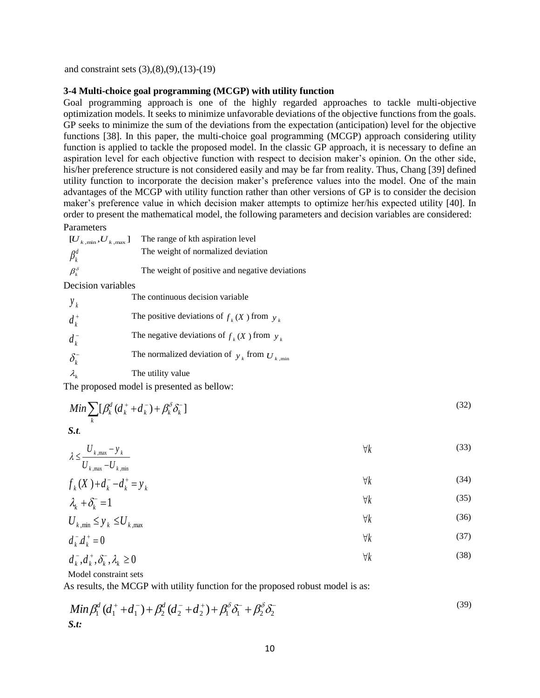and constraint sets (3),(8),(9),(13)-(19)

# **3-4 Multi-choice goal programming (MCGP) with utility function**

Goal programming approach is one of the highly regarded approaches to tackle multi-objective optimization models. It seeks to minimize unfavorable deviations of the objective functions from the goals. GP seeks to minimize the sum of the deviations from the expectation (anticipation) level for the objective functions [38]. In this paper, the multi-choice goal programming (MCGP) approach considering utility function is applied to tackle the proposed model. In the classic GP approach, it is necessary to define an aspiration level for each objective function with respect to decision maker's opinion. On the other side, his/her preference structure is not considered easily and may be far from reality. Thus, Chang [39] defined utility function to incorporate the decision maker's preference values into the model. One of the main advantages of the MCGP with utility function rather than other versions of GP is to consider the decision maker's preference value in which decision maker attempts to optimize her/his expected utility [40]. In order to present the mathematical model, the following parameters and decision variables are considered:

#### Parameters

| $\left[U_{\rm \, \, k \, , min}, U_{\rm \, \, k \, , max}\right]$ | The range of kth aspiration level              |
|-------------------------------------------------------------------|------------------------------------------------|
| $\beta_k^d$                                                       | The weight of normalized deviation             |
| $\beta_i^{\delta}$                                                | The weight of positive and negative deviations |

Decision variables

| $y_k$                              | The continuous decision variable                          |
|------------------------------------|-----------------------------------------------------------|
| $d_k^+$                            | The positive deviations of $f_k(X)$ from $y_k$            |
| $d_k^-$                            | The negative deviations of $f_k(X)$ from $y_k$            |
| $\delta_{\scriptscriptstyle{k}}^-$ | The normalized deviation of $y_k$ from $U_{k,\text{min}}$ |
| $\lambda_{\scriptscriptstyle{k}}$  | The utility value                                         |

The proposed model is presented as bellow:

$$
Min \sum_{k} [\beta_k^d (d_k^+ + d_k^-) + \beta_k^{\delta} \delta_k^-]
$$
\n<sup>(32)</sup>

*S.t.*

$$
\lambda \le \frac{U_{k,\max} - y_k}{U_{k,\max} - U_{k,\min}}\tag{33}
$$

$$
f_k(X) + d_k^- - d_k^+ = y_k \tag{34}
$$

$$
\lambda_k + \delta_k^- = 1 \tag{35}
$$

$$
U_{k,\min} \le y_k \le U_{k,\max} \tag{36}
$$

$$
d_k^d d_k^+ = 0 \tag{37}
$$

(38)

$$
d_k^-, d_k^+, \delta_k^-, \lambda_k \ge 0
$$

Model constraint sets

As results, the MCGP with utility function for the proposed robust model is as:

$$
Min \beta_1^d (d_1^+ + d_1^-) + \beta_2^d (d_2^- + d_2^+) + \beta_1^{\delta} \delta_1^- + \beta_2^{\delta} \delta_2^-
$$
\n
$$
S.t:
$$
\n(39)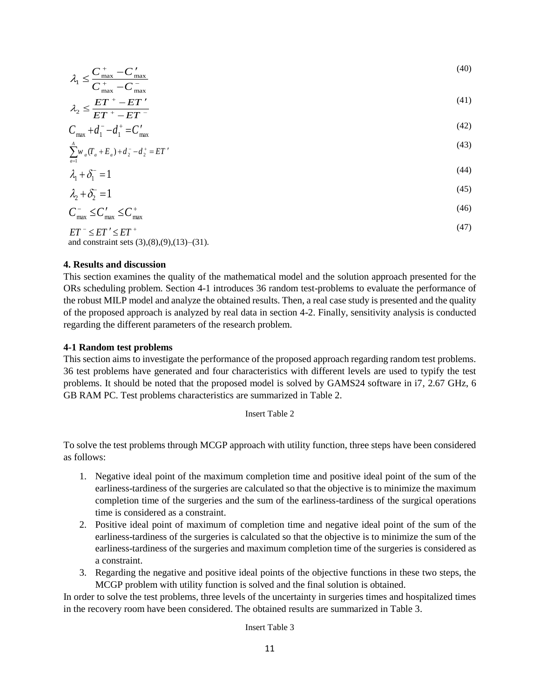$$
\lambda_1 \le \frac{C_{\text{max}}^+ - C_{\text{max}}'}{C_{\text{max}}} \tag{40}
$$

$$
C_{\text{max}}^+ - C_{\text{max}}^-
$$
  

$$
\lambda_{\text{max}} \le \frac{ET^+ - ET^{\prime}}{(41)}
$$

$$
\lambda_2 \le \frac{2\pi}{ET^+ - ET^-} - C_{\text{max}} + d_1^- - d_1^+ = C_{\text{max}}'
$$
\n(42)

$$
\sum_{a=1}^{A} w_a (T_a + E_a) + d_2^- - d_2^+ = ET'
$$
\n(43)

$$
\lambda_1 + \delta_1^- = 1 \tag{44}
$$

$$
\lambda_2 + \delta_2^- = 1\tag{45}
$$

$$
C_{\text{max}}^- \leq C_{\text{max}}^+ \leq C_{\text{max}}^+ \tag{46}
$$

(47)

$$
ET^{-} \leq ET' \leq ET^{+}
$$
  
and constraint sets (3),(8),(9),(13)-(31).

# **4. Results and discussion**

This section examines the quality of the mathematical model and the solution approach presented for the ORs scheduling problem. Section 4-1 introduces 36 random test-problems to evaluate the performance of the robust MILP model and analyze the obtained results. Then, a real case study is presented and the quality of the proposed approach is analyzed by real data in section 4-2. Finally, sensitivity analysis is conducted regarding the different parameters of the research problem.

#### **4-1 Random test problems**

This section aims to investigate the performance of the proposed approach regarding random test problems. 36 test problems have generated and four characteristics with different levels are used to typify the test problems. It should be noted that the proposed model is solved by GAMS24 software in i7, 2.67 GHz, 6 GB RAM PC. Test problems characteristics are summarized in Table 2.

#### Insert Table 2

To solve the test problems through MCGP approach with utility function, three steps have been considered as follows:

- 1. Negative ideal point of the maximum completion time and positive ideal point of the sum of the earliness-tardiness of the surgeries are calculated so that the objective is to minimize the maximum completion time of the surgeries and the sum of the earliness-tardiness of the surgical operations time is considered as a constraint.
- 2. Positive ideal point of maximum of completion time and negative ideal point of the sum of the earliness-tardiness of the surgeries is calculated so that the objective is to minimize the sum of the earliness-tardiness of the surgeries and maximum completion time of the surgeries is considered as a constraint.
- 3. Regarding the negative and positive ideal points of the objective functions in these two steps, the MCGP problem with utility function is solved and the final solution is obtained.

In order to solve the test problems, three levels of the uncertainty in surgeries times and hospitalized times in the recovery room have been considered. The obtained results are summarized in Table 3.

Insert Table 3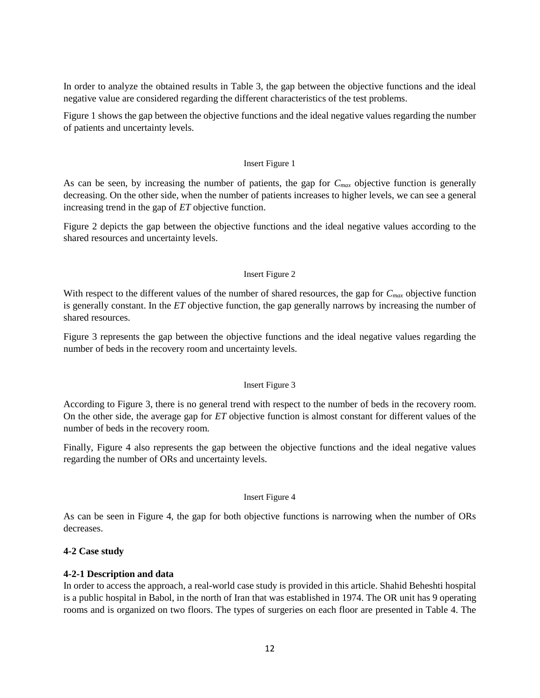In order to analyze the obtained results in Table 3, the gap between the objective functions and the ideal negative value are considered regarding the different characteristics of the test problems.

Figure 1 shows the gap between the objective functions and the ideal negative values regarding the number of patients and uncertainty levels.

#### Insert Figure 1

As can be seen, by increasing the number of patients, the gap for *Cmax* objective function is generally decreasing. On the other side, when the number of patients increases to higher levels, we can see a general increasing trend in the gap of *ET* objective function.

Figure 2 depicts the gap between the objective functions and the ideal negative values according to the shared resources and uncertainty levels.

# Insert Figure 2

With respect to the different values of the number of shared resources, the gap for  $C_{max}$  objective function is generally constant. In the *ET* objective function, the gap generally narrows by increasing the number of shared resources.

Figure 3 represents the gap between the objective functions and the ideal negative values regarding the number of beds in the recovery room and uncertainty levels.

#### Insert Figure 3

According to Figure 3, there is no general trend with respect to the number of beds in the recovery room. On the other side, the average gap for *ET* objective function is almost constant for different values of the number of beds in the recovery room.

Finally, Figure 4 also represents the gap between the objective functions and the ideal negative values regarding the number of ORs and uncertainty levels.

#### Insert Figure 4

As can be seen in Figure 4, the gap for both objective functions is narrowing when the number of ORs decreases.

# **4-2 Case study**

# **4-2-1 Description and data**

In order to access the approach, a real-world case study is provided in this article. Shahid Beheshti hospital is a public hospital in Babol, in the north of Iran that was established in 1974. The OR unit has 9 operating rooms and is organized on two floors. The types of surgeries on each floor are presented in Table 4. The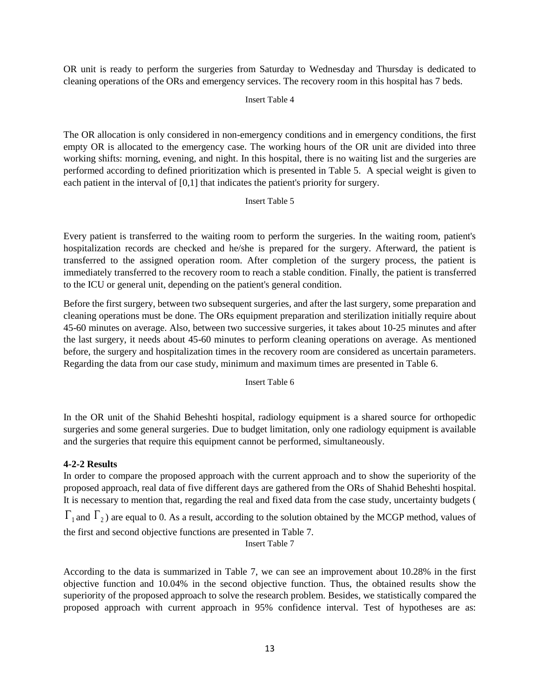OR unit is ready to perform the surgeries from Saturday to Wednesday and Thursday is dedicated to cleaning operations of the ORs and emergency services. The recovery room in this hospital has 7 beds.

# Insert Table 4

The OR allocation is only considered in non-emergency conditions and in emergency conditions, the first empty OR is allocated to the emergency case. The working hours of the OR unit are divided into three working shifts: morning, evening, and night. In this hospital, there is no waiting list and the surgeries are performed according to defined prioritization which is presented in Table 5. A special weight is given to each patient in the interval of [0,1] that indicates the patient's priority for surgery.

# Insert Table 5

Every patient is transferred to the waiting room to perform the surgeries. In the waiting room, patient's hospitalization records are checked and he/she is prepared for the surgery. Afterward, the patient is transferred to the assigned operation room. After completion of the surgery process, the patient is immediately transferred to the recovery room to reach a stable condition. Finally, the patient is transferred to the ICU or general unit, depending on the patient's general condition.

Before the first surgery, between two subsequent surgeries, and after the last surgery, some preparation and cleaning operations must be done. The ORs equipment preparation and sterilization initially require about 45-60 minutes on average. Also, between two successive surgeries, it takes about 10-25 minutes and after the last surgery, it needs about 45-60 minutes to perform cleaning operations on average. As mentioned before, the surgery and hospitalization times in the recovery room are considered as uncertain parameters. Regarding the data from our case study, minimum and maximum times are presented in Table 6.

Insert Table 6

In the OR unit of the Shahid Beheshti hospital, radiology equipment is a shared source for orthopedic surgeries and some general surgeries. Due to budget limitation, only one radiology equipment is available and the surgeries that require this equipment cannot be performed, simultaneously.

# **4-2-2 Results**

In order to compare the proposed approach with the current approach and to show the superiority of the proposed approach, real data of five different days are gathered from the ORs of Shahid Beheshti hospital. It is necessary to mention that, regarding the real and fixed data from the case study, uncertainty budgets (

 $\Gamma_1$  and  $\Gamma_2$ ) are equal to 0. As a result, according to the solution obtained by the MCGP method, values of the first and second objective functions are presented in Table 7.

Insert Table 7

According to the data is summarized in Table 7, we can see an improvement about 10.28% in the first objective function and 10.04% in the second objective function. Thus, the obtained results show the superiority of the proposed approach to solve the research problem. Besides, we statistically compared the proposed approach with current approach in 95% confidence interval. Test of hypotheses are as: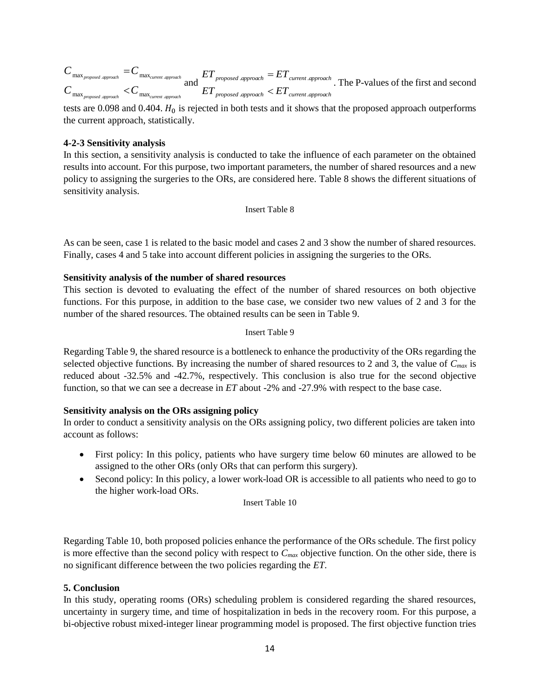$$
C_{\max_{\text{proposed. approach}}}=C_{\max_{\text{current. approach}}}\frac{1}{1+\epsilon_{\max_{\text{current.}}\text{append.}}}\frac{1}{1+\epsilon_{\max_{\text{current.}}\text{append.}}}}{1+\epsilon_{\max_{\text{parent.}}\text{append.}}}\frac{1}{1+\epsilon_{\max_{\text{current.}}\text{append.}}}\frac{1}{1+\epsilon_{\max_{\text{number.}}\text{append.}}}}{1+\epsilon_{\max_{\text{number.}}\text{append.}}}\frac{1}{1+\epsilon_{\max_{\text{number.}}\text{append.}}}\frac{1}{1+\epsilon_{\max_{\text{number.}}\text{append.}}}\frac{1}{1+\epsilon_{\max_{\text{number.}}\text{append.}}}}{1+\epsilon_{\max_{\text{number.}}\text{append.}}}
$$

tests are 0.098 and 0.404.  $H_0$  is rejected in both tests and it shows that the proposed approach outperforms the current approach, statistically.

# **4-2-3 Sensitivity analysis**

In this section, a sensitivity analysis is conducted to take the influence of each parameter on the obtained results into account. For this purpose, two important parameters, the number of shared resources and a new policy to assigning the surgeries to the ORs, are considered here. Table 8 shows the different situations of sensitivity analysis.

Insert Table 8

As can be seen, case 1 is related to the basic model and cases 2 and 3 show the number of shared resources. Finally, cases 4 and 5 take into account different policies in assigning the surgeries to the ORs.

# **Sensitivity analysis of the number of shared resources**

This section is devoted to evaluating the effect of the number of shared resources on both objective functions. For this purpose, in addition to the base case, we consider two new values of 2 and 3 for the number of the shared resources. The obtained results can be seen in Table 9.

#### Insert Table 9

Regarding Table 9, the shared resource is a bottleneck to enhance the productivity of the ORs regarding the selected objective functions. By increasing the number of shared resources to 2 and 3, the value of *Cmax* is reduced about -32.5% and -42.7%, respectively. This conclusion is also true for the second objective function, so that we can see a decrease in *ET* about -2% and -27.9% with respect to the base case.

# **Sensitivity analysis on the ORs assigning policy**

In order to conduct a sensitivity analysis on the ORs assigning policy, two different policies are taken into account as follows:

- First policy: In this policy, patients who have surgery time below 60 minutes are allowed to be assigned to the other ORs (only ORs that can perform this surgery).
- Second policy: In this policy, a lower work-load OR is accessible to all patients who need to go to the higher work-load ORs.

Insert Table 10

Regarding Table 10, both proposed policies enhance the performance of the ORs schedule. The first policy is more effective than the second policy with respect to *Cmax* objective function. On the other side, there is no significant difference between the two policies regarding the *ET*.

# **5. Conclusion**

In this study, operating rooms (ORs) scheduling problem is considered regarding the shared resources, uncertainty in surgery time, and time of hospitalization in beds in the recovery room. For this purpose, a bi-objective robust mixed-integer linear programming model is proposed. The first objective function tries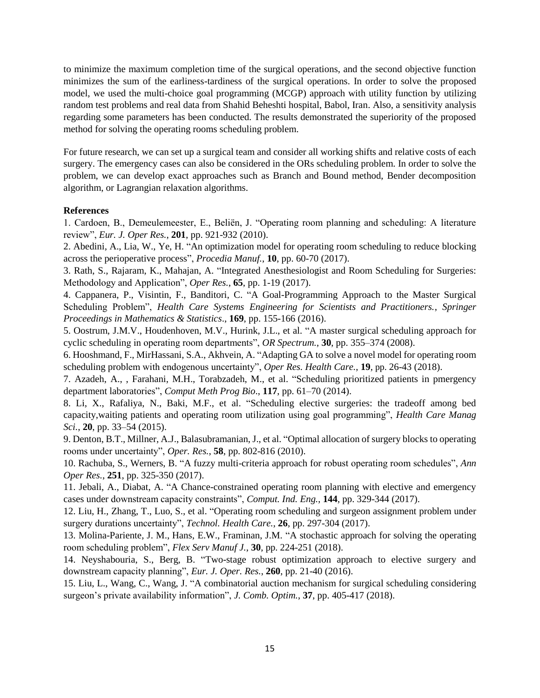to minimize the maximum completion time of the surgical operations, and the second objective function minimizes the sum of the earliness-tardiness of the surgical operations. In order to solve the proposed model, we used the multi-choice goal programming (MCGP) approach with utility function by utilizing random test problems and real data from Shahid Beheshti hospital, Babol, Iran. Also, a sensitivity analysis regarding some parameters has been conducted. The results demonstrated the superiority of the proposed method for solving the operating rooms scheduling problem.

For future research, we can set up a surgical team and consider all working shifts and relative costs of each surgery. The emergency cases can also be considered in the ORs scheduling problem. In order to solve the problem, we can develop exact approaches such as Branch and Bound method, Bender decomposition algorithm, or Lagrangian relaxation algorithms.

# **References**

1. Cardoen, B., Demeulemeester, E., Beliën, J. "Operating room planning and scheduling: A literature review", *Eur. J. Oper Res.*, **201**, pp. 921-932 (2010).

2. Abedini, A., Lia, W., Ye, H. "An optimization model for operating room scheduling to reduce blocking across the perioperative process", *Procedia Manuf.*, **10**, pp. 60-70 (2017).

3. Rath, S., Rajaram, K., Mahajan, A. "Integrated Anesthesiologist and Room Scheduling for Surgeries: Methodology and Application", *Oper Res.*, **65**, pp. 1-19 (2017).

4. Cappanera, P., Visintin, F., Banditori, C. "A Goal-Programming Approach to the Master Surgical Scheduling Problem", *Health Care Systems Engineering for Scientists and Practitioners.*, *Springer Proceedings in Mathematics & Statistics*., **169**, pp. 155-166 (2016).

5. Oostrum, J.M.V., Houdenhoven, M.V., Hurink, J.L., et al. "A master surgical scheduling approach for cyclic scheduling in operating room departments", *OR Spectrum.*, **30**, pp. 355–374 (2008).

6. Hooshmand, F., MirHassani, S.A., Akhvein, A. "Adapting GA to solve a novel model for operating room scheduling problem with endogenous uncertainty", *Oper Res. Health Care.*, **19**, pp. 26-43 (2018).

7. Azadeh, A., , Farahani, M.H., Torabzadeh, M., et al. "Scheduling prioritized patients in pmergency department laboratories", *Comput Meth Prog Bio*., **117**, pp. 61–70 (2014).

8. Li, X., Rafaliya, N., Baki, M.F., et al. "Scheduling elective surgeries: the tradeoff among bed capacity,waiting patients and operating room utilization using goal programming", *Health Care Manag Sci.*, **20**, pp. 33–54 (2015).

9. Denton, B.T., Millner, A.J., Balasubramanian, J., et al. "Optimal allocation of surgery blocks to operating rooms under uncertainty", *Oper. Res.*, **58**, pp. 802-816 (2010).

10. Rachuba, S., Werners, B. "A fuzzy multi-criteria approach for robust operating room schedules", *Ann Oper Res.*, **251**, pp. 325-350 (2017).

11. Jebali, A., Diabat, A. "A Chance-constrained operating room planning with elective and emergency cases under downstream capacity constraints", *Comput. Ind. Eng.*, **144**, pp. 329-344 (2017).

12. Liu, H., Zhang, T., Luo, S., et al. "Operating room scheduling and surgeon assignment problem under surgery durations uncertainty", *Technol. Health Care.*, **26**, pp. 297-304 (2017).

13. Molina-Pariente, J. M., Hans, E.W., Framinan, J.M. "A stochastic approach for solving the operating room scheduling problem", *Flex Serv Manuf J.*, **30**, pp. 224-251 (2018).

14. Neyshabouria, S., Berg, B. "Two-stage robust optimization approach to elective surgery and downstream capacity planning", *Eur. J. Oper. Res.*, **260**, pp. 21-40 (2016).

15. Liu, L., Wang, C., Wang, J. "A combinatorial auction mechanism for surgical scheduling considering surgeon's private availability information", *J. Comb. Optim.*, **37**, pp. 405-417 (2018).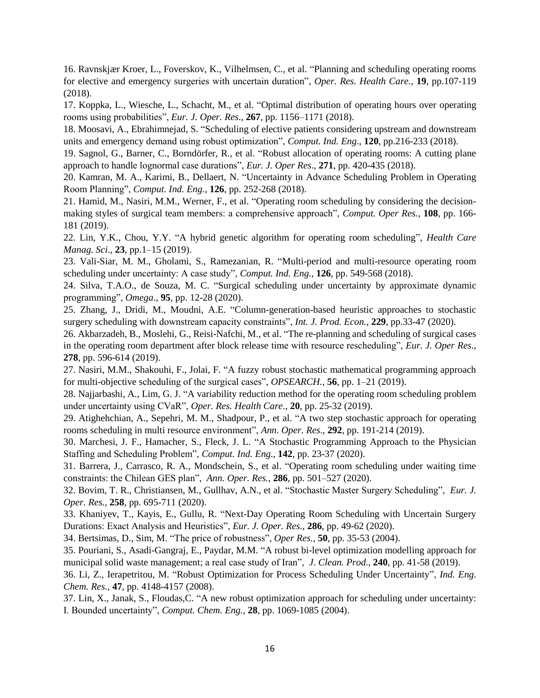16. Ravnskjær Kroer, L., Foverskov, K., Vilhelmsen, C., et al. "Planning and scheduling operating rooms for elective and emergency surgeries with uncertain duration", *Oper. Res. Health Care.*, **19**, pp.107-119 (2018).

17. Koppka, L., Wiesche, L., Schacht, M., et al. "Optimal distribution of operating hours over operating rooms using probabilities", *Eur. J. Oper. Res*., **267**, pp. 1156–1171 (2018).

18. Moosavi, A., Ebrahimnejad, S. "Scheduling of elective patients considering upstream and downstream units and emergency demand using robust optimization", *Comput. Ind. Eng*., **120**, pp.216-233 (2018).

19. Sagnol, G., Barner, C., Borndörfer, R., et al. "Robust allocation of operating rooms: A cutting plane approach to handle lognormal case durations", *Eur. J. Oper Res*., **271**, pp. 420-435 (2018).

20. Kamran, M. A., Karimi, B., Dellaert, N. "Uncertainty in Advance Scheduling Problem in Operating Room Planning", *Comput. Ind. Eng.*, **126**, pp. 252-268 (2018).

21. Hamid, M., Nasiri, M.M., Werner, F., et al. "Operating room scheduling by considering the decisionmaking styles of surgical team members: a comprehensive approach", *Comput. Oper Res.*, **108**, pp. 166- 181 (2019).

22. Lin, Y.K., Chou, Y.Y. "A hybrid genetic algorithm for operating room scheduling", *Health Care Manag. Sci*., **23**, pp.1–15 (2019).

23. Vali-Siar, M. M., Gholami, S., Ramezanian, R. "Multi-period and multi-resource operating room scheduling under uncertainty: A case study", *Comput. Ind. Eng.*, **126**, pp. 549-568 (2018).

24. Silva, T.A.O., de Souza, M. C. "Surgical scheduling under uncertainty by approximate dynamic programming", *Omega*., **95**, pp. 12-28 (2020).

25. Zhang, J., Dridi, M., Moudni, A.E. "Column-generation-based heuristic approaches to stochastic surgery scheduling with downstream capacity constraints", *Int. J. Prod. Econ.*, **229**, pp.33-47 (2020).

26. Akbarzadeh, B., Moslehi, G., Reisi-Nafchi, M., et al. "The re-planning and scheduling of surgical cases in the operating room department after block release time with resource rescheduling", *Eur. J. Oper Res.*, **278**, pp. 596-614 (2019).

27. Nasiri, M.M., Shakouhi, F., Jolai, F. "A fuzzy robust stochastic mathematical programming approach for multi-objective scheduling of the surgical cases", *OPSEARCH.*, **56**, pp. 1–21 (2019).

28. Najjarbashi, A., Lim, G. J. "A variability reduction method for the operating room scheduling problem under uncertainty using CVaR", *Oper. Res. Health Care*., **20**, pp. 25-32 (2019).

29. Atighehchian, A., Sepehri, M. M., Shadpour, P., et al. "A two step stochastic approach for operating rooms scheduling in multi resource environment", *Ann. Oper. Res*., **292**, pp. 191-214 (2019).

30. Marchesi, J. F., Hamacher, S., Fleck, J. L. "A Stochastic Programming Approach to the Physician Staffing and Scheduling Problem", *Comput. Ind. Eng*., **142**, pp. 23-37 (2020).

31. Barrera, J., Carrasco, R. A., Mondschein, S., et al. "Operating room scheduling under waiting time constraints: the Chilean GES plan", *Ann. Oper. Res.*, **286**, pp. 501–527 (2020).

32. Bovim, T. R., Christiansen, M., Gullhav, A.N., et al. "Stochastic Master Surgery Scheduling", *Eur. J. Oper. Res.*, **258**, pp. 695-711 (2020).

33. Khaniyev, T., Kayis, E., Gullu, R. "Next-Day Operating Room Scheduling with Uncertain Surgery Durations: Exact Analysis and Heuristics", *Eur. J. Oper. Res.*, **286**, pp. 49-62 (2020).

34. Bertsimas, D., Sim, M. "The price of robustness", *Oper Res.*, **50**, pp. 35-53 (2004).

35. Pouriani, S., Asadi-Gangraj, E., Paydar, M.M. "A robust bi-level optimization modelling approach for municipal solid waste management; a real case study of Iran", *J. Clean. Prod.*, **240**, pp. 41-58 (2019).

36. Li, Z., Ierapetritou, M. "Robust Optimization for Process Scheduling Under Uncertainty", *Ind. Eng. Chem. Res.*, **47**, pp. 4148-4157 (2008).

37. Lin, X., Janak, S., Floudas,C. "A new robust optimization approach for scheduling under uncertainty: I. Bounded uncertainty", *Comput. Chem. Eng.*, **28**, pp. 1069-1085 (2004).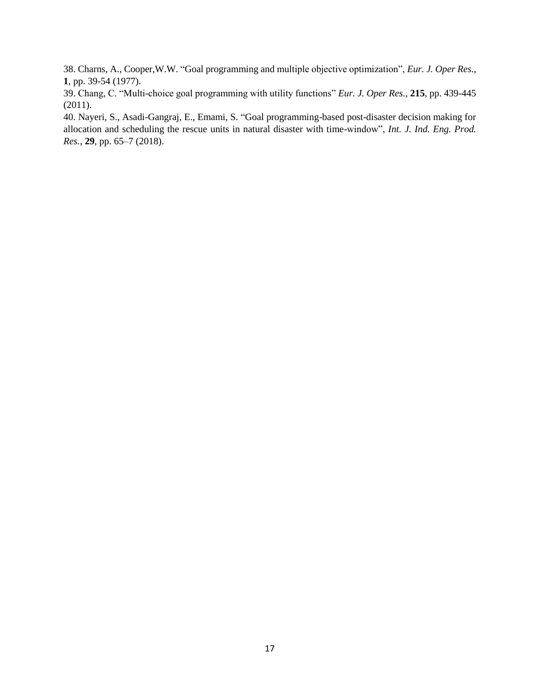38. Charns, A., Cooper,W.W. "Goal programming and multiple objective optimization", *Eur. J. Oper Res.*, **1**, pp. 39-54 (1977).

39. Chang, C. "Multi-choice goal programming with utility functions" *Eur. J. Oper Res.*, **215**, pp. 439-445 (2011).

40. Nayeri, S., Asadi-Gangraj, E., Emami, S. "Goal programming-based post-disaster decision making for allocation and scheduling the rescue units in natural disaster with time-window", *Int. J. Ind. Eng. Prod. Res.*, **29**, pp. 65–7 (2018).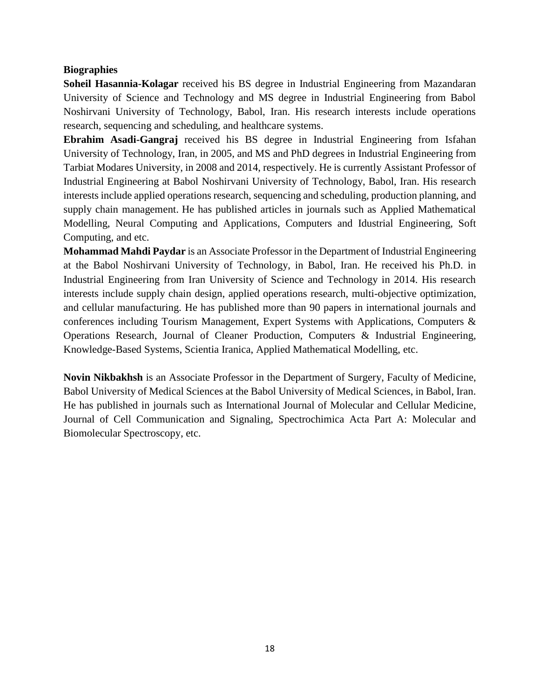# **Biographies**

**Soheil Hasannia-Kolagar** received his BS degree in Industrial Engineering from Mazandaran University of Science and Technology and MS degree in Industrial Engineering from Babol Noshirvani University of Technology, Babol, Iran. His research interests include operations research, sequencing and scheduling, and healthcare systems.

**Ebrahim Asadi-Gangraj** received his BS degree in Industrial Engineering from Isfahan University of Technology, Iran, in 2005, and MS and PhD degrees in Industrial Engineering from Tarbiat Modares University, in 2008 and 2014, respectively. He is currently Assistant Professor of Industrial Engineering at Babol Noshirvani University of Technology, Babol, Iran. His research interests include applied operations research, sequencing and scheduling, production planning, and supply chain management. He has published articles in journals such as Applied Mathematical Modelling, Neural Computing and Applications, Computers and Idustrial Engineering, Soft Computing, and etc.

**Mohammad Mahdi Paydar** is an Associate Professor in the Department of Industrial Engineering at the Babol Noshirvani University of Technology, in Babol, Iran. He received his Ph.D. in Industrial Engineering from Iran University of Science and Technology in 2014. His research interests include supply chain design, applied operations research, multi-objective optimization, and cellular manufacturing. He has published more than 90 papers in international journals and conferences including Tourism Management, Expert Systems with Applications, Computers & Operations Research, Journal of Cleaner Production, Computers & Industrial Engineering, Knowledge-Based Systems, Scientia Iranica, Applied Mathematical Modelling, etc.

**Novin Nikbakhsh** is an Associate Professor in the Department of Surgery, Faculty of Medicine, Babol University of Medical Sciences at the Babol University of Medical Sciences, in Babol, Iran. He has published in journals such as International Journal of Molecular and Cellular Medicine, Journal of Cell Communication and Signaling, Spectrochimica Acta Part A: Molecular and Biomolecular Spectroscopy, etc.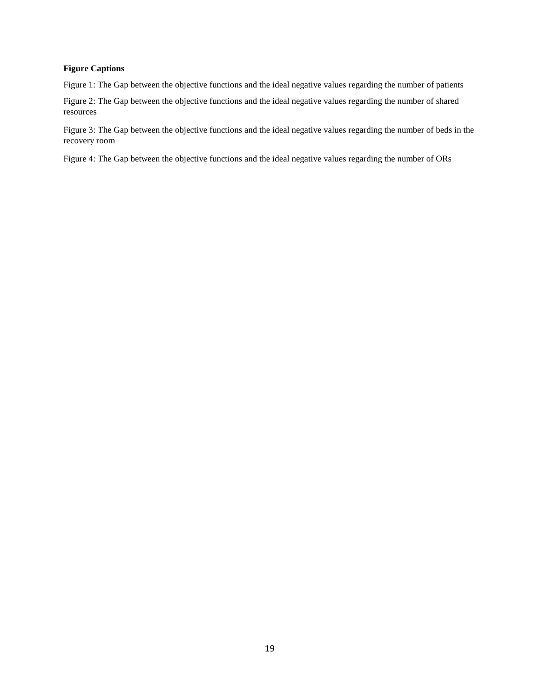#### **Figure Captions**

Figure 1: The Gap between the objective functions and the ideal negative values regarding the number of patients

Figure 2: The Gap between the objective functions and the ideal negative values regarding the number of shared resources

Figure 3: The Gap between the objective functions and the ideal negative values regarding the number of beds in the recovery room

Figure 4: The Gap between the objective functions and the ideal negative values regarding the number of ORs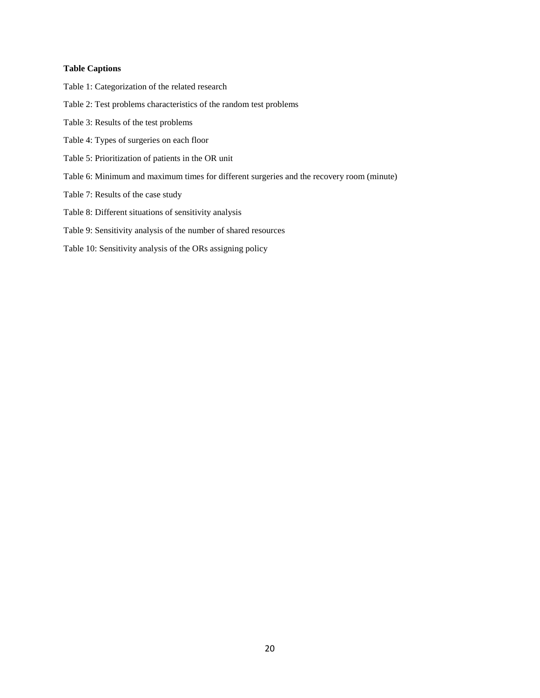#### **Table Captions**

- Table 1: Categorization of the related research
- Table 2: Test problems characteristics of the random test problems
- Table 3: Results of the test problems
- Table 4: Types of surgeries on each floor
- Table 5: Prioritization of patients in the OR unit
- Table 6: Minimum and maximum times for different surgeries and the recovery room (minute)
- Table 7: Results of the case study
- Table 8: Different situations of sensitivity analysis
- Table 9: Sensitivity analysis of the number of shared resources
- Table 10: Sensitivity analysis of the ORs assigning policy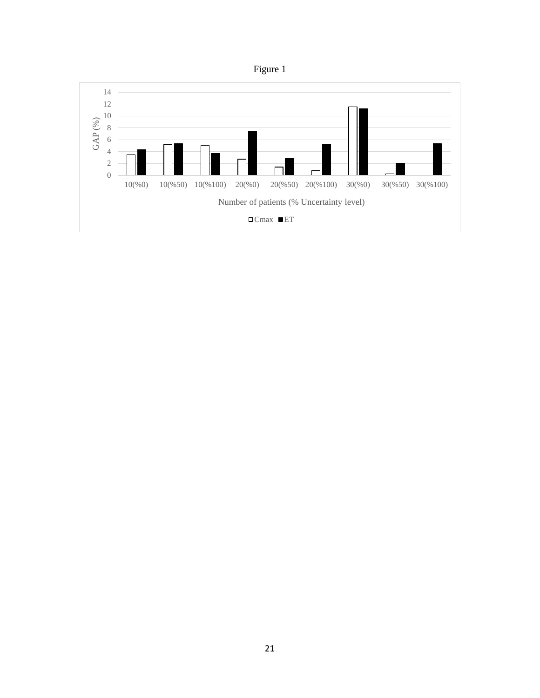

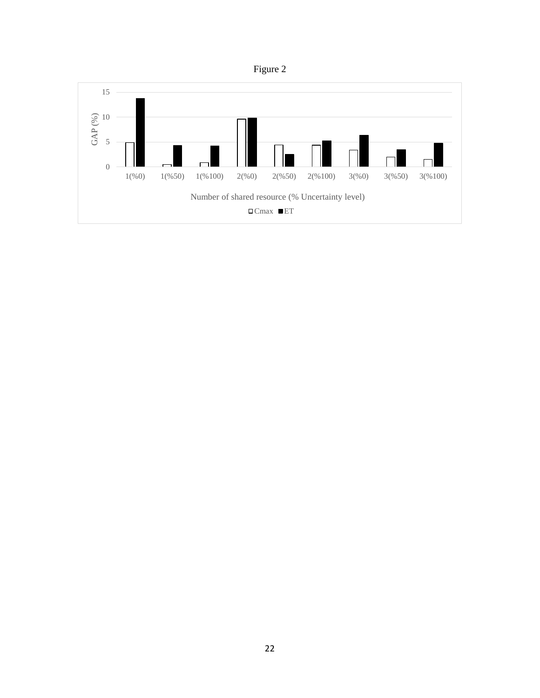

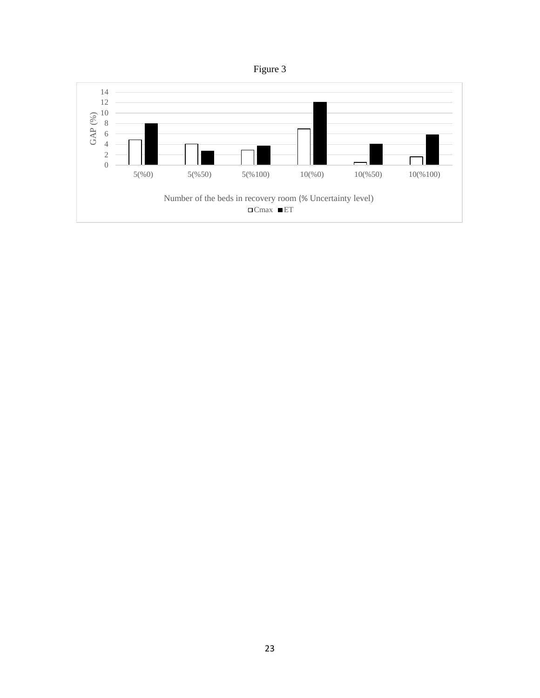

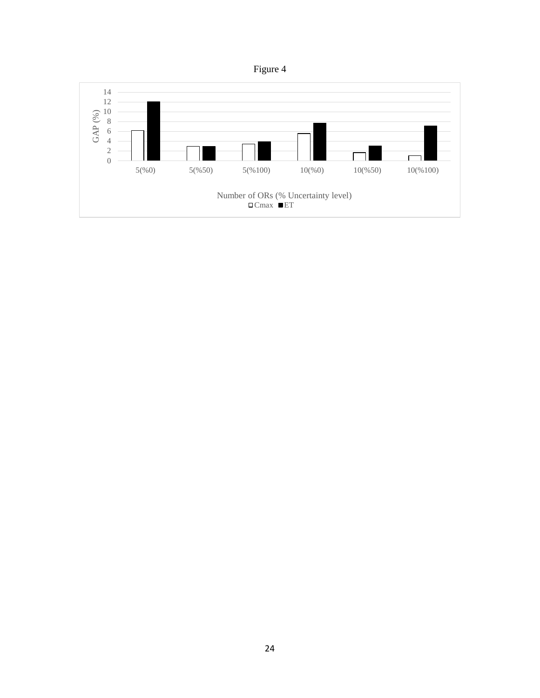

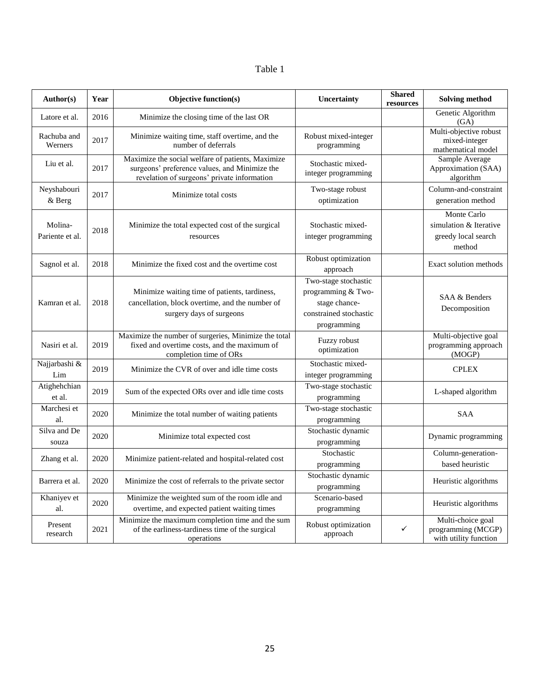| I<br>I |  |
|--------|--|
|--------|--|

| Author(s)                  | Year | Objective function(s)                                                                                                                             | Uncertainty                                                                                          | <b>Shared</b><br>resources | <b>Solving method</b>                                                  |  |
|----------------------------|------|---------------------------------------------------------------------------------------------------------------------------------------------------|------------------------------------------------------------------------------------------------------|----------------------------|------------------------------------------------------------------------|--|
| Latore et al.              | 2016 | Minimize the closing time of the last OR                                                                                                          |                                                                                                      |                            | Genetic Algorithm<br>(GA)                                              |  |
| Rachuba and<br>Werners     | 2017 | Minimize waiting time, staff overtime, and the<br>number of deferrals                                                                             | Robust mixed-integer<br>programming                                                                  |                            | Multi-objective robust<br>mixed-integer<br>mathematical model          |  |
| Liu et al.                 | 2017 | Maximize the social welfare of patients, Maximize<br>surgeons' preference values, and Minimize the<br>revelation of surgeons' private information | Stochastic mixed-<br>integer programming                                                             |                            | Sample Average<br>Approximation (SAA)<br>algorithm                     |  |
| Neyshabouri<br>& Berg      | 2017 | Minimize total costs                                                                                                                              | Two-stage robust<br>optimization                                                                     |                            | Column-and-constraint<br>generation method                             |  |
| Molina-<br>Pariente et al. | 2018 | Minimize the total expected cost of the surgical<br>resources                                                                                     | Stochastic mixed-<br>integer programming                                                             |                            | Monte Carlo<br>simulation & Iterative<br>greedy local search<br>method |  |
| Sagnol et al.              | 2018 | Minimize the fixed cost and the overtime cost                                                                                                     | Robust optimization<br>approach                                                                      |                            | Exact solution methods                                                 |  |
| Kamran et al.              | 2018 | Minimize waiting time of patients, tardiness,<br>cancellation, block overtime, and the number of<br>surgery days of surgeons                      | Two-stage stochastic<br>programming & Two-<br>stage chance-<br>constrained stochastic<br>programming |                            | SAA & Benders<br>Decomposition                                         |  |
| Nasiri et al.              | 2019 | Maximize the number of surgeries, Minimize the total<br>fixed and overtime costs, and the maximum of<br>completion time of ORs                    | Fuzzy robust<br>optimization                                                                         |                            | Multi-objective goal<br>programming approach<br>(MOGP)                 |  |
| Najjarbashi &<br>Lim       | 2019 | Minimize the CVR of over and idle time costs                                                                                                      | Stochastic mixed-<br>integer programming                                                             |                            | <b>CPLEX</b>                                                           |  |
| Atighehchian<br>et al.     | 2019 | Sum of the expected ORs over and idle time costs                                                                                                  | Two-stage stochastic<br>programming                                                                  |                            | L-shaped algorithm                                                     |  |
| Marchesi et<br>al.         | 2020 | Minimize the total number of waiting patients                                                                                                     | Two-stage stochastic<br>programming                                                                  |                            | <b>SAA</b>                                                             |  |
| Silva and De<br>souza      | 2020 | Minimize total expected cost                                                                                                                      | Stochastic dynamic<br>programming                                                                    |                            | Dynamic programming                                                    |  |
| Zhang et al.               | 2020 | Minimize patient-related and hospital-related cost                                                                                                | Stochastic<br>programming                                                                            |                            | Column-generation-<br>based heuristic                                  |  |
| Barrera et al.             | 2020 | Minimize the cost of referrals to the private sector                                                                                              | Stochastic dynamic<br>programming                                                                    |                            | Heuristic algorithms                                                   |  |
| Khaniyev et<br>al.         | 2020 | Minimize the weighted sum of the room idle and<br>overtime, and expected patient waiting times                                                    | Scenario-based<br>programming                                                                        |                            | Heuristic algorithms                                                   |  |
| Present<br>research        | 2021 | Minimize the maximum completion time and the sum<br>of the earliness-tardiness time of the surgical<br>operations                                 | Robust optimization<br>approach                                                                      | ✓                          | Multi-choice goal<br>programming (MCGP)<br>with utility function       |  |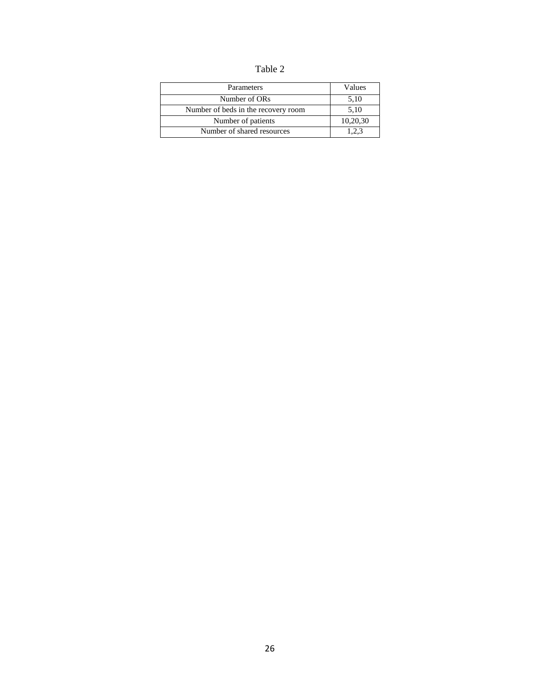Table 2

| Parameters                          | Values   |
|-------------------------------------|----------|
| Number of ORs                       | 5.10     |
| Number of beds in the recovery room | 5.10     |
| Number of patients                  | 10,20,30 |
| Number of shared resources          | 1.2.3    |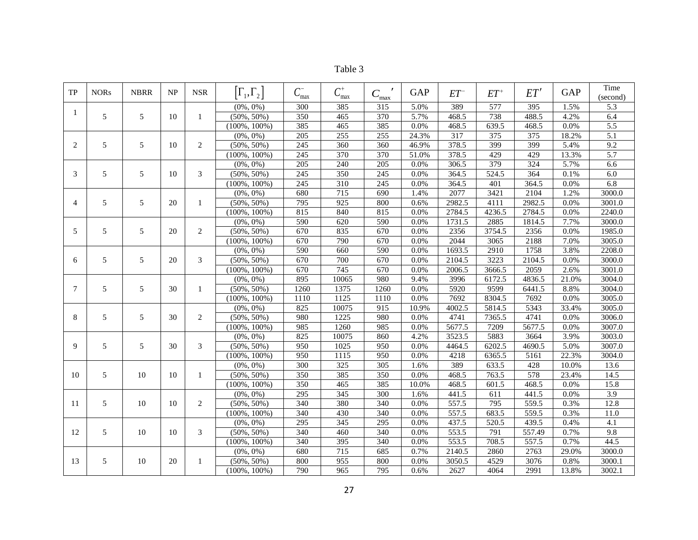| ani |  |
|-----|--|
|     |  |

| TP             | <b>NORs</b> | <b>NBRR</b> | NP | <b>NSR</b> | $\left[\Gamma_1,\Gamma_2\right]$ | $C_{\text{max}}^-$ | $C_{\max}^+$     | $C_{\frac{\text{max}}{\text{max}}}$ | <b>GAP</b> | $ET^{-}$         | $ET^+$ | ET'    | <b>GAP</b> | Time<br>(second) |
|----------------|-------------|-------------|----|------------|----------------------------------|--------------------|------------------|-------------------------------------|------------|------------------|--------|--------|------------|------------------|
|                |             |             |    |            | $(0\%, 0\%)$                     | 300                | 385              | 315                                 | 5.0%       | 389              | 577    | 395    | 1.5%       | 5.3              |
| -1             | 5           | 5           | 10 | 1          | $(50\%, 50\%)$                   | 350                | 465              | 370                                 | 5.7%       | 468.5            | 738    | 488.5  | 4.2%       | 6.4              |
|                |             |             |    |            | $(100\%, 100\%)$                 | 385                | 465              | 385                                 | 0.0%       | 468.5            | 639.5  | 468.5  | 0.0%       | 5.5              |
|                |             |             |    |            | $(0\%, 0\%)$                     | 205                | 255              | 255                                 | 24.3%      | $\overline{317}$ | 375    | 375    | 18.2%      | $\overline{5.1}$ |
| $\overline{2}$ | 5           | 5           | 10 | 2          | $(50\%, 50\%)$                   | $\overline{245}$   | 360              | 360                                 | 46.9%      | 378.5            | 399    | 399    | 5.4%       | 9.2              |
|                |             |             |    |            | $(100\%, 100\%)$                 | $\overline{245}$   | 370              | 370                                 | 51.0%      | 378.5            | 429    | 429    | 13.3%      | 5.7              |
|                |             |             |    |            | $(0\%, 0\%)$                     | $\overline{205}$   | $\overline{240}$ | $\overline{205}$                    | 0.0%       | 306.5            | 379    | 324    | 5.7%       | 6.6              |
| 3              | 5           | 5           | 10 | 3          | $(50\%, 50\%)$                   | 245                | 350              | 245                                 | 0.0%       | 364.5            | 524.5  | 364    | 0.1%       | $6.0\,$          |
|                |             |             |    |            | $(100\%, 100\%)$                 | $\overline{245}$   | 310              | $\overline{245}$                    | 0.0%       | 364.5            | 401    | 364.5  | 0.0%       | 6.8              |
|                |             |             |    |            | $(0\%, 0\%)$                     | 680                | 715              | 690                                 | 1.4%       | 2077             | 3421   | 2104   | 1.2%       | 3000.0           |
| $\overline{4}$ | 5           | 5           | 20 | 1          | $(50\%, 50\%)$                   | $\overline{795}$   | 925              | 800                                 | 0.6%       | 2982.5           | 4111   | 2982.5 | 0.0%       | 3001.0           |
|                |             |             |    |            | $(100\%, 100\%)$                 | 815                | 840              | 815                                 | 0.0%       | 2784.5           | 4236.5 | 2784.5 | 0.0%       | 2240.0           |
|                |             |             |    |            | $(0\%, 0\%)$                     | 590                | 620              | 590                                 | 0.0%       | 1731.5           | 2885   | 1814.5 | 7.7%       | 3000.0           |
| 5              | 5           | 5           | 20 | 2          | $(50\%, 50\%)$                   | 670                | 835              | 670                                 | 0.0%       | 2356             | 3754.5 | 2356   | 0.0%       | 1985.0           |
|                |             |             |    |            | $(100\%, 100\%)$                 | 670                | 790              | 670                                 | 0.0%       | 2044             | 3065   | 2188   | 7.0%       | 3005.0           |
|                |             |             |    |            | $(0\%, 0\%)$                     | 590                | 660              | 590                                 | 0.0%       | 1693.5           | 2910   | 1758   | 3.8%       | 2208.0           |
| 6              | 5           | 5           | 20 | 3          | $(50\%, 50\%)$                   | 670                | 700              | 670                                 | 0.0%       | 2104.5           | 3223   | 2104.5 | 0.0%       | 3000.0           |
|                |             |             |    |            | $(100\%, 100\%)$                 | 670                | 745              | 670                                 | 0.0%       | 2006.5           | 3666.5 | 2059   | 2.6%       | 3001.0           |
|                |             |             |    |            | $(0\%, 0\%)$                     | 895                | 10065            | 980                                 | 9.4%       | 3996             | 6172.5 | 4836.5 | 21.0%      | 3004.0           |
| $\overline{7}$ | 5           | 5           | 30 | 1          | $(50\%, 50\%)$                   | 1260               | 1375             | 1260                                | 0.0%       | 5920             | 9599   | 6441.5 | 8.8%       | 3004.0           |
|                |             |             |    |            | $(100\%, 100\%)$                 | 1110               | 1125             | 1110                                | 0.0%       | 7692             | 8304.5 | 7692   | 0.0%       | 3005.0           |
|                |             |             |    |            | $(0\%, 0\%)$                     | 825                | 10075            | 915                                 | 10.9%      | 4002.5           | 5814.5 | 5343   | 33.4%      | 3005.0           |
| 8              | 5           | 5           | 30 | 2          | $(50\%, 50\%)$                   | 980                | 1225             | 980                                 | 0.0%       | 4741             | 7365.5 | 4741   | 0.0%       | 3006.0           |
|                |             |             |    |            | $(100\%, 100\%)$                 | 985                | 1260             | 985                                 | 0.0%       | 5677.5           | 7209   | 5677.5 | 0.0%       | 3007.0           |
|                |             |             |    |            | $(0\%, 0\%)$                     | 825                | 10075            | 860                                 | 4.2%       | 3523.5           | 5883   | 3664   | 3.9%       | 3003.0           |
| 9              | 5           | 5           | 30 | 3          | $(50\%, 50\%)$                   | 950                | 1025             | 950                                 | 0.0%       | 4464.5           | 6202.5 | 4690.5 | 5.0%       | 3007.0           |
|                |             |             |    |            | $(100\%, 100\%)$                 | 950                | 1115             | 950                                 | 0.0%       | 4218             | 6365.5 | 5161   | 22.3%      | 3004.0           |
|                |             |             |    |            | $(0\%, 0\%)$                     | 300                | 325              | $\overline{305}$                    | 1.6%       | 389              | 633.5  | 428    | 10.0%      | 13.6             |
| 10             | 5           | 10          | 10 | 1          | $(50\%, 50\%)$                   | $\overline{350}$   | 385              | 350                                 | 0.0%       | 468.5            | 763.5  | 578    | 23.4%      | 14.5             |
|                |             |             |    |            | $(100\%, 100\%)$                 | 350                | 465              | 385                                 | 10.0%      | 468.5            | 601.5  | 468.5  | 0.0%       | 15.8             |
|                |             |             |    |            | $(0\%, 0\%)$                     | 295                | 345              | 300                                 | 1.6%       | 441.5            | 611    | 441.5  | 0.0%       | 3.9              |
| 11             | 5           | 10          | 10 | 2          | $(50\%, 50\%)$                   | 340                | 380              | 340                                 | 0.0%       | 557.5            | 795    | 559.5  | 0.3%       | 12.8             |
|                |             |             |    |            | $(100\%, 100\%)$                 | 340                | 430              | 340                                 | 0.0%       | 557.5            | 683.5  | 559.5  | 0.3%       | 11.0             |
|                |             |             |    |            | $(0\%, 0\%)$                     | 295                | 345              | 295                                 | 0.0%       | 437.5            | 520.5  | 439.5  | 0.4%       | 4.1              |
| 12             | 5           | 10          | 10 | 3          | $(50\%, 50\%)$                   | 340                | 460              | 340                                 | 0.0%       | 553.5            | 791    | 557.49 | 0.7%       | 9.8              |
|                |             |             |    |            | $(100\%, 100\%)$                 | 340                | 395              | 340                                 | 0.0%       | 553.5            | 708.5  | 557.5  | 0.7%       | 44.5             |
|                |             |             |    |            | $(0\%, 0\%)$                     | 680                | 715              | 685                                 | 0.7%       | 2140.5           | 2860   | 2763   | 29.0%      | 3000.0           |
| 13             | 5           | 10          | 20 | 1          | $(50\%, 50\%)$                   | 800                | 955              | 800                                 | 0.0%       | 3050.5           | 4529   | 3076   | 0.8%       | 3000.1           |
|                |             |             |    |            | $(100\%, 100\%)$                 | 790                | 965              | 795                                 | 0.6%       | 2627             | 4064   | 2991   | 13.8%      | 3002.1           |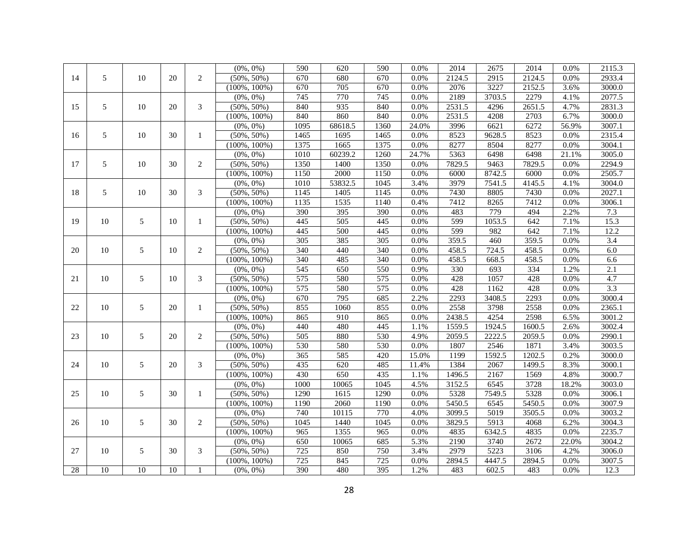|                 |                 |    |                 |                | $(0\%, 0\%)$     | 590  | 620              | 590              | 0.0%  | 2014   | 2675   | 2014   | 0.0%  | 2115.3           |
|-----------------|-----------------|----|-----------------|----------------|------------------|------|------------------|------------------|-------|--------|--------|--------|-------|------------------|
| 14              | 5               | 10 | 20              | $\overline{2}$ | $(50\%, 50\%)$   | 670  | 680              | 670              | 0.0%  | 2124.5 | 2915   | 2124.5 | 0.0%  | 2933.4           |
|                 |                 |    |                 |                | $(100\%, 100\%)$ | 670  | $\overline{705}$ | 670              | 0.0%  | 2076   | 3227   | 2152.5 | 3.6%  | 3000.0           |
|                 |                 |    |                 |                | $(0\%, 0\%)$     | 745  | 770              | $\overline{745}$ | 0.0%  | 2189   | 3703.5 | 2279   | 4.1%  | 2077.5           |
| 15              | 5               | 10 | 20              | 3              | $(50\%, 50\%)$   | 840  | 935              | 840              | 0.0%  | 2531.5 | 4296   | 2651.5 | 4.7%  | 2831.3           |
|                 |                 |    |                 |                | $(100\%, 100\%)$ | 840  | 860              | 840              | 0.0%  | 2531.5 | 4208   | 2703   | 6.7%  | 3000.0           |
|                 |                 |    |                 |                | $(0\%, 0\%)$     | 1095 | 68618.5          | 1360             | 24.0% | 3996   | 6621   | 6272   | 56.9% | 3007.1           |
| 16              | 5               | 10 | 30              | 1              | $(50\%, 50\%)$   | 1465 | 1695             | 1465             | 0.0%  | 8523   | 9628.5 | 8523   | 0.0%  | 2315.4           |
|                 |                 |    |                 |                | $(100\%, 100\%)$ | 1375 | 1665             | 1375             | 0.0%  | 8277   | 8504   | 8277   | 0.0%  | 3004.1           |
|                 |                 |    |                 |                | $(0\%, 0\%)$     | 1010 | 60239.2          | 1260             | 24.7% | 5363   | 6498   | 6498   | 21.1% | 3005.0           |
| 17              | 5               | 10 | 30              | $\overline{c}$ | $(50\%, 50\%)$   | 1350 | 1400             | 1350             | 0.0%  | 7829.5 | 9463   | 7829.5 | 0.0%  | 2294.9           |
|                 |                 |    |                 |                | $(100\%, 100\%)$ | 1150 | 2000             | 1150             | 0.0%  | 6000   | 8742.5 | 6000   | 0.0%  | 2505.7           |
|                 |                 |    |                 |                | $(0\%, 0\%)$     | 1010 | 53832.5          | 1045             | 3.4%  | 3979   | 7541.5 | 4145.5 | 4.1%  | 3004.0           |
| 18              | 5               | 10 | 30              | 3              | $(50\%, 50\%)$   | 1145 | 1405             | 1145             | 0.0%  | 7430   | 8805   | 7430   | 0.0%  | 2027.1           |
|                 |                 |    |                 |                | $(100\%, 100\%)$ | 1135 | 1535             | 1140             | 0.4%  | 7412   | 8265   | 7412   | 0.0%  | 3006.1           |
|                 |                 |    |                 |                | $(0\%, 0\%)$     | 390  | $\overline{395}$ | 390              | 0.0%  | 483    | 779    | 494    | 2.2%  | 7.3              |
| 19              | 10              | 5  | 10              | 1              | $(50\%, 50\%)$   | 445  | 505              | 445              | 0.0%  | 599    | 1053.5 | 642    | 7.1%  | 15.3             |
|                 |                 |    |                 |                | $(100\%, 100\%)$ | 445  | 500              | 445              | 0.0%  | 599    | 982    | 642    | 7.1%  | 12.2             |
|                 |                 |    |                 |                | $(0\%, 0\%)$     | 305  | 385              | 305              | 0.0%  | 359.5  | 460    | 359.5  | 0.0%  | 3.4              |
| 20              | 10              | 5  | 10              | 2              | $(50\%, 50\%)$   | 340  | 440              | 340              | 0.0%  | 458.5  | 724.5  | 458.5  | 0.0%  | 6.0              |
|                 |                 |    |                 |                | $(100\%, 100\%)$ | 340  | 485              | 340              | 0.0%  | 458.5  | 668.5  | 458.5  | 0.0%  | 6.6              |
|                 |                 |    |                 |                | $(0\%, 0\%)$     | 545  | 650              | 550              | 0.9%  | 330    | 693    | 334    | 1.2%  | 2.1              |
| 21              | 10              | 5  | 10              | 3              | $(50\%, 50\%)$   | 575  | 580              | 575              | 0.0%  | 428    | 1057   | 428    | 0.0%  | 4.7              |
|                 |                 |    |                 |                | $(100\%, 100\%)$ | 575  | 580              | 575              | 0.0%  | 428    | 1162   | 428    | 0.0%  | $\overline{3.3}$ |
|                 |                 |    |                 |                | $(0\%, 0\%)$     | 670  | 795              | 685              | 2.2%  | 2293   | 3408.5 | 2293   | 0.0%  | 3000.4           |
| 22              | 10              | 5  | 20              | 1              | $(50\%, 50\%)$   | 855  | 1060             | 855              | 0.0%  | 2558   | 3798   | 2558   | 0.0%  | 2365.1           |
|                 |                 |    |                 |                | $(100\%, 100\%)$ | 865  | 910              | 865              | 0.0%  | 2438.5 | 4254   | 2598   | 6.5%  | 3001.2           |
|                 |                 |    |                 |                | $(0\%, 0\%)$     | 440  | 480              | 445              | 1.1%  | 1559.5 | 1924.5 | 1600.5 | 2.6%  | 3002.4           |
| 23              | 10              | 5  | 20              | 2              | $(50\%, 50\%)$   | 505  | 880              | $\overline{530}$ | 4.9%  | 2059.5 | 2222.5 | 2059.5 | 0.0%  | 2990.1           |
|                 |                 |    |                 |                | $(100\%, 100\%)$ | 530  | 580              | 530              | 0.0%  | 1807   | 2546   | 1871   | 3.4%  | 3003.5           |
|                 |                 |    |                 |                | $(0\%, 0\%)$     | 365  | 585              | 420              | 15.0% | 1199   | 1592.5 | 1202.5 | 0.2%  | 3000.0           |
| 24              | 10              | 5  | 20              | 3              | $(50\%, 50\%)$   | 435  | 620              | 485              | 11.4% | 1384   | 2067   | 1499.5 | 8.3%  | 3000.1           |
|                 |                 |    |                 |                | $(100\%, 100\%)$ | 430  | 650              | 435              | 1.1%  | 1496.5 | 2167   | 1569   | 4.8%  | 3000.7           |
|                 |                 |    |                 |                | $(0\%, 0\%)$     | 1000 | 10065            | 1045             | 4.5%  | 3152.5 | 6545   | 3728   | 18.2% | 3003.0           |
| 25              | 10              | 5  | 30              | $\mathbf{1}$   | $(50\%, 50\%)$   | 1290 | 1615             | 1290             | 0.0%  | 5328   | 7549.5 | 5328   | 0.0%  | 3006.1           |
|                 |                 |    |                 |                | $(100\%, 100\%)$ | 1190 | 2060             | 1190             | 0.0%  | 5450.5 | 6545   | 5450.5 | 0.0%  | 3007.9           |
|                 |                 |    |                 |                | $(0\%, 0\%)$     | 740  | 10115            | 770              | 4.0%  | 3099.5 | 5019   | 3505.5 | 0.0%  | 3003.2           |
| 26              | 10              | 5  | 30              | 2              | $(50\%, 50\%)$   | 1045 | 1440             | 1045             | 0.0%  | 3829.5 | 5913   | 4068   | 6.2%  | 3004.3           |
|                 |                 |    |                 |                | $(100\%, 100\%)$ | 965  | 1355             | 965              | 0.0%  | 4835   | 6342.5 | 4835   | 0.0%  | 2235.7           |
|                 |                 |    |                 |                | $(0\%, 0\%)$     | 650  | 10065            | 685              | 5.3%  | 2190   | 3740   | 2672   | 22.0% | 3004.2           |
| 27              | 10              | 5  | 30              | 3              | $(50\%, 50\%)$   | 725  | 850              | 750              | 3.4%  | 2979   | 5223   | 3106   | 4.2%  | 3006.0           |
|                 |                 |    |                 |                | $(100\%, 100\%)$ | 725  | 845              | 725              | 0.0%  | 2894.5 | 4447.5 | 2894.5 | 0.0%  | 3007.5           |
| $\overline{28}$ | $\overline{10}$ | 10 | $\overline{10}$ |                | $(0\%, 0\%)$     | 390  | 480              | 395              | 1.2%  | 483    | 602.5  | 483    | 0.0%  | 12.3             |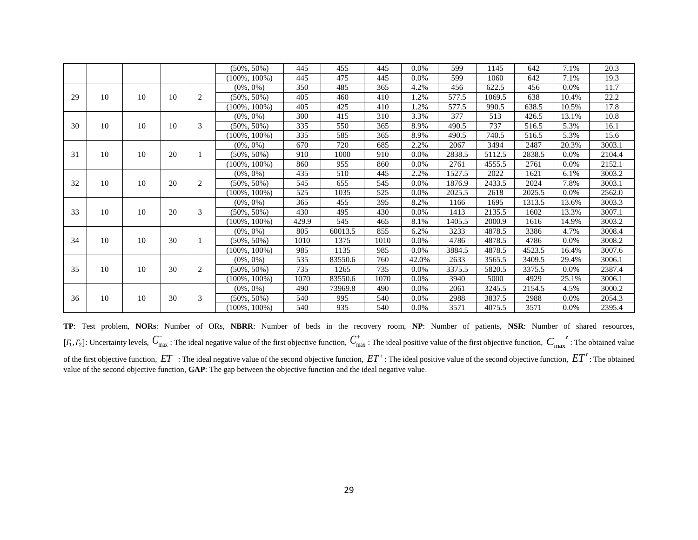|    |    |    |    |              | $(50\%, 50\%)$   | 445   | 455     | 445  | $0.0\%$ | 599    | 1145   | 642    | 7.1%    | 20.3   |
|----|----|----|----|--------------|------------------|-------|---------|------|---------|--------|--------|--------|---------|--------|
|    |    |    |    |              | $(100\%, 100\%)$ | 445   | 475     | 445  | $0.0\%$ | 599    | 1060   | 642    | 7.1%    | 19.3   |
|    |    |    |    |              | $(0\%, 0\%)$     | 350   | 485     | 365  | 4.2%    | 456    | 622.5  | 456    | 0.0%    | 11.7   |
| 29 | 10 | 10 | 10 | $\mathbf{2}$ | $(50\%, 50\%)$   | 405   | 460     | 410  | 1.2%    | 577.5  | 1069.5 | 638    | 10.4%   | 22.2   |
|    |    |    |    |              | $(100\%, 100\%)$ | 405   | 425     | 410  | 1.2%    | 577.5  | 990.5  | 638.5  | 10.5%   | 17.8   |
|    |    |    |    |              | $(0\%, 0\%)$     | 300   | 415     | 310  | 3.3%    | 377    | 513    | 426.5  | 13.1%   | 10.8   |
| 30 | 10 | 10 | 10 | 3            | $(50\%, 50\%)$   | 335   | 550     | 365  | 8.9%    | 490.5  | 737    | 516.5  | 5.3%    | 16.1   |
|    |    |    |    |              | $(100\%, 100\%)$ | 335   | 585     | 365  | 8.9%    | 490.5  | 740.5  | 516.5  | 5.3%    | 15.6   |
|    |    |    |    |              | $(0\%, 0\%)$     | 670   | 720     | 685  | 2.2%    | 2067   | 3494   | 2487   | 20.3%   | 3003.1 |
| 31 | 10 | 10 | 20 |              | $(50\%, 50\%)$   | 910   | 1000    | 910  | $0.0\%$ | 2838.5 | 5112.5 | 2838.5 | 0.0%    | 2104.4 |
|    |    |    |    |              | $(100\%, 100\%)$ | 860   | 955     | 860  | $0.0\%$ | 2761   | 4555.5 | 2761   | $0.0\%$ | 2152.1 |
|    |    |    |    |              | $(0\%, 0\%)$     | 435   | 510     | 445  | 2.2%    | 1527.5 | 2022   | 1621   | 6.1%    | 3003.2 |
| 32 | 10 | 10 | 20 | 2            | $(50\%, 50\%)$   | 545   | 655     | 545  | $0.0\%$ | 1876.9 | 2433.5 | 2024   | 7.8%    | 3003.1 |
|    |    |    |    |              | $(100\%, 100\%)$ | 525   | 1035    | 525  | 0.0%    | 2025.5 | 2618   | 2025.5 | 0.0%    | 2562.0 |
|    |    |    |    |              | $(0\%, 0\%)$     | 365   | 455     | 395  | 8.2%    | 1166   | 1695   | 1313.5 | 13.6%   | 3003.3 |
| 33 | 10 | 10 | 20 | 3            | $(50\%, 50\%)$   | 430   | 495     | 430  | $0.0\%$ | 1413   | 2135.5 | 1602   | 13.3%   | 3007.1 |
|    |    |    |    |              | $(100\%, 100\%)$ | 429.9 | 545     | 465  | 8.1%    | 1405.5 | 2000.9 | 1616   | 14.9%   | 3003.2 |
|    |    |    |    |              | $(0\%, 0\%)$     | 805   | 60013.5 | 855  | 6.2%    | 3233   | 4878.5 | 3386   | 4.7%    | 3008.4 |
| 34 | 10 | 10 | 30 |              | $(50\%, 50\%)$   | 1010  | 1375    | 1010 | $0.0\%$ | 4786   | 4878.5 | 4786   | 0.0%    | 3008.2 |
|    |    |    |    |              | $(100\%, 100\%)$ | 985   | 1135    | 985  | $0.0\%$ | 3884.5 | 4878.5 | 4523.5 | 16.4%   | 3007.6 |
|    |    |    |    |              | $(0\%, 0\%)$     | 535   | 83550.6 | 760  | 42.0%   | 2633   | 3565.5 | 3409.5 | 29.4%   | 3006.1 |
| 35 | 10 | 10 | 30 | 2            | $(50\%, 50\%)$   | 735   | 1265    | 735  | $0.0\%$ | 3375.5 | 5820.5 | 3375.5 | 0.0%    | 2387.4 |
|    |    |    |    |              | $(100\%, 100\%)$ | 1070  | 83550.6 | 1070 | $0.0\%$ | 3940   | 5000   | 4929   | 25.1%   | 3006.1 |
|    |    |    |    |              | $(0\%, 0\%)$     | 490   | 73969.8 | 490  | $0.0\%$ | 2061   | 3245.5 | 2154.5 | 4.5%    | 3000.2 |
| 36 | 10 | 10 | 30 | 3            | $(50\%, 50\%)$   | 540   | 995     | 540  | $0.0\%$ | 2988   | 3837.5 | 2988   | 0.0%    | 2054.3 |
|    |    |    |    |              | $(100\%, 100\%)$ | 540   | 935     | 540  | $0.0\%$ | 3571   | 4075.5 | 3571   | $0.0\%$ | 2395.4 |

**TP**: Test problem, **NORs**: Number of ORs, **NBRR**: Number of beds in the recovery room, **NP**: Number of patients, **NSR**: Number of shared resources,  $[I_1, I_2]$ : Uncertainty levels,  $C_{\text{max}}^-$ : The ideal negative value of the first objective function,  $C_{\text{max}}^+$ : The ideal positive value of the first objective function,  $C_{\text{max}}^{\prime\prime}$ : The obtained value of the first objective function,  $ET$  : The ideal negative value of the second objective function,  $ET^*$ : The ideal positive value of the second objective function,  $ET'$  : The obtained value of the second objective function, **GAP**: The gap between the objective function and the ideal negative value.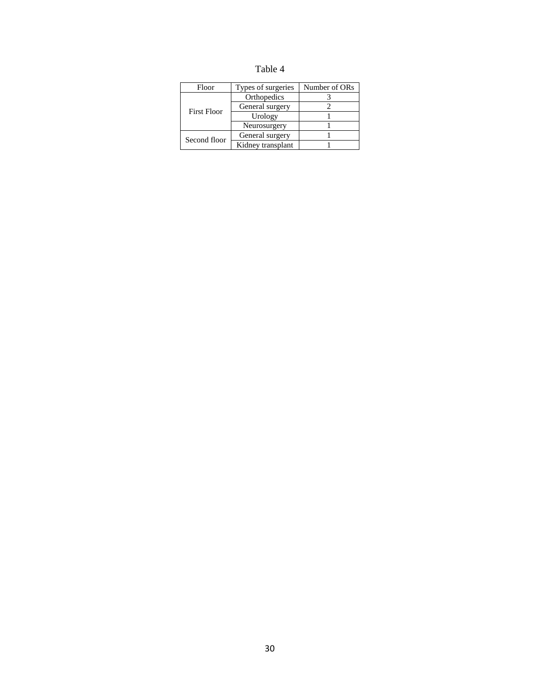| nı<br>Ω. |  |
|----------|--|
|----------|--|

| Floor              | Types of surgeries | Number of ORs |
|--------------------|--------------------|---------------|
|                    | Orthopedics        |               |
| <b>First Floor</b> | General surgery    |               |
|                    | Urology            |               |
|                    | Neurosurgery       |               |
| Second floor       | General surgery    |               |
|                    | Kidney transplant  |               |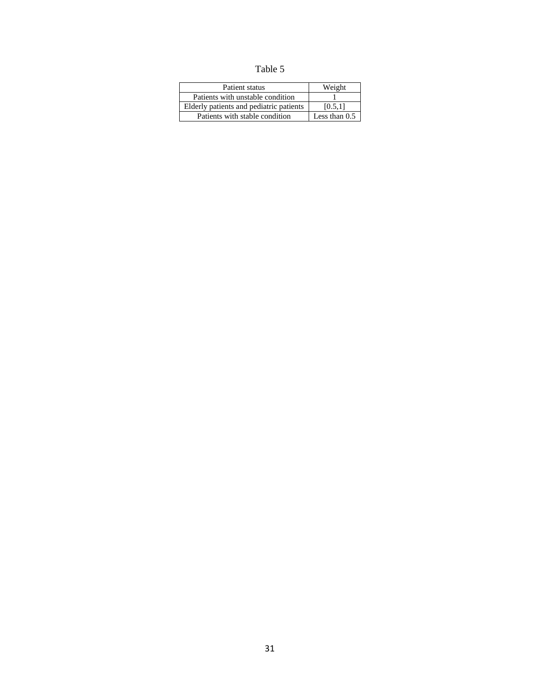Table 5

| Patient status                          | Weight          |
|-----------------------------------------|-----------------|
| Patients with unstable condition        |                 |
| Elderly patients and pediatric patients | [0.5.1]         |
| Patients with stable condition          | Less than $0.5$ |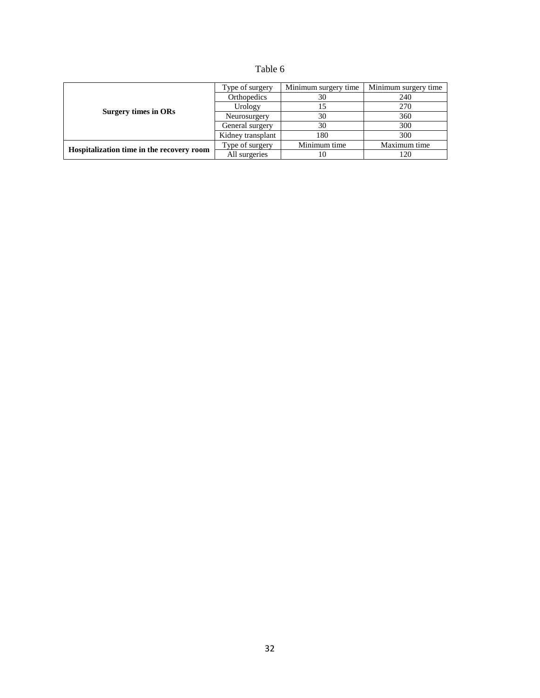| abie |  |
|------|--|
|------|--|

|                                           | Type of surgery   | Minimum surgery time | Minimum surgery time |
|-------------------------------------------|-------------------|----------------------|----------------------|
|                                           | Orthopedics       | 30                   | 240                  |
|                                           | Urology           | 15                   | 270                  |
| Surgery times in ORs                      | Neurosurgery      | 30                   | 360                  |
|                                           | General surgery   | 30                   | 300                  |
|                                           | Kidney transplant | 180                  | 300                  |
|                                           | Type of surgery   | Minimum time         | Maximum time         |
| Hospitalization time in the recovery room | All surgeries     | 10                   | 120                  |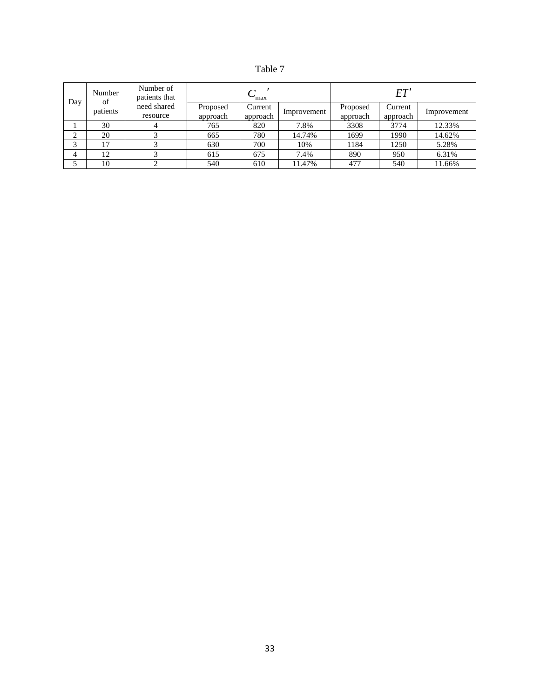| n<br>١<br>ш<br>α. |  |
|-------------------|--|
|-------------------|--|

| Day | Number<br>of | Number of<br>patients that | max                  |                     |             | ET'                  |                     |             |  |
|-----|--------------|----------------------------|----------------------|---------------------|-------------|----------------------|---------------------|-------------|--|
|     | patients     | need shared<br>resource    | Proposed<br>approach | Current<br>approach | Improvement | Proposed<br>approach | Current<br>approach | Improvement |  |
|     | 30           | 4                          | 765                  | 820                 | 7.8%        | 3308                 | 3774                | 12.33%      |  |
| ◠   | 20           |                            | 665                  | 780                 | 14.74%      | 1699                 | 1990                | 14.62%      |  |
| ◠   |              |                            | 630                  | 700                 | 10%         | 1184                 | 1250                | 5.28%       |  |
| 4   | 12           |                            | 615                  | 675                 | 7.4%        | 890                  | 950                 | 6.31%       |  |
|     | 10           |                            | 540                  | 610                 | 11.47%      | 477                  | 540                 | 11.66%      |  |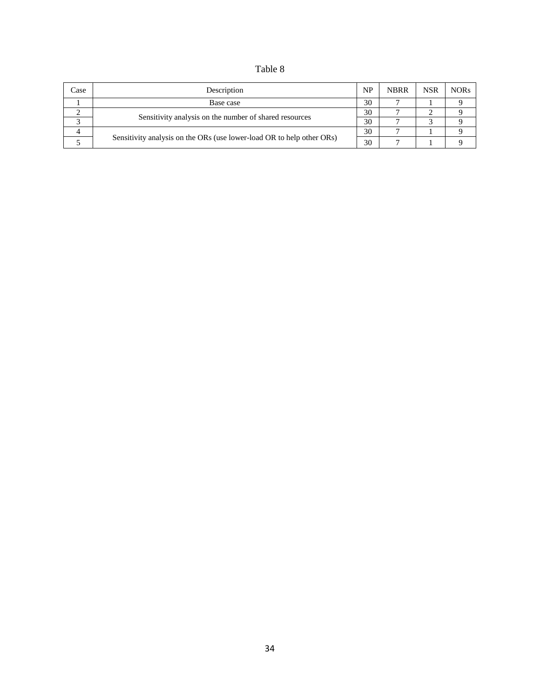# Table 8

| Case | Description                                                           | <b>NP</b> | <b>NBRR</b> | <b>NSR</b> | <b>NORs</b> |
|------|-----------------------------------------------------------------------|-----------|-------------|------------|-------------|
|      | Base case                                                             | 30        |             |            |             |
|      | Sensitivity analysis on the number of shared resources                | 30        |             |            |             |
|      |                                                                       | 30        |             |            |             |
|      |                                                                       | 30        |             |            |             |
|      | Sensitivity analysis on the ORs (use lower-load OR to help other ORs) | 30        |             |            |             |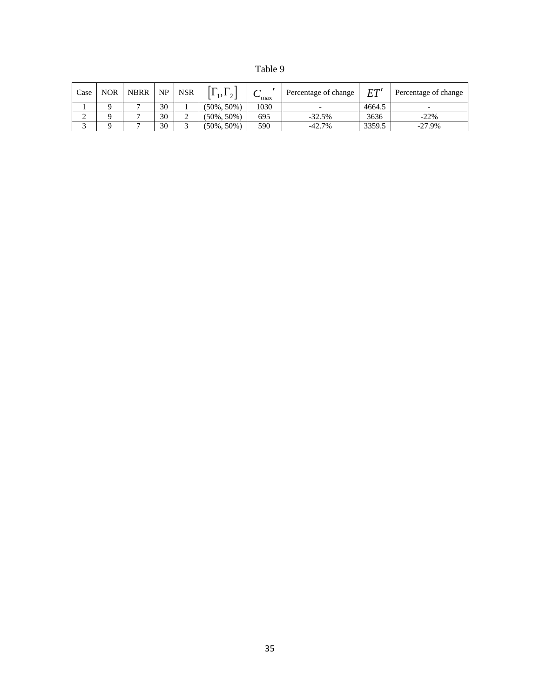| ani<br>е |  |
|----------|--|
|----------|--|

| Case | <b>NOR</b> | <b>NBRR</b> | NP | <b>NSR</b> | $-1$ , $\sim$ 1 | $\mathbf{v}_{\text{max}}$ | Percentage of change | FT'    | Percentage of change     |
|------|------------|-------------|----|------------|-----------------|---------------------------|----------------------|--------|--------------------------|
|      |            |             | 30 |            | $(50\%, 50\%)$  | 1030                      |                      | 4664.5 | $\overline{\phantom{0}}$ |
| ∼    |            |             | 30 |            | $(50\%, 50\%)$  | 695                       | $-32.5%$             | 3636   | $-22%$                   |
|      |            |             | 30 |            | $(50\%, 50\%)$  | 590                       | $-42.7%$             | 3359.5 | $-27.9%$                 |